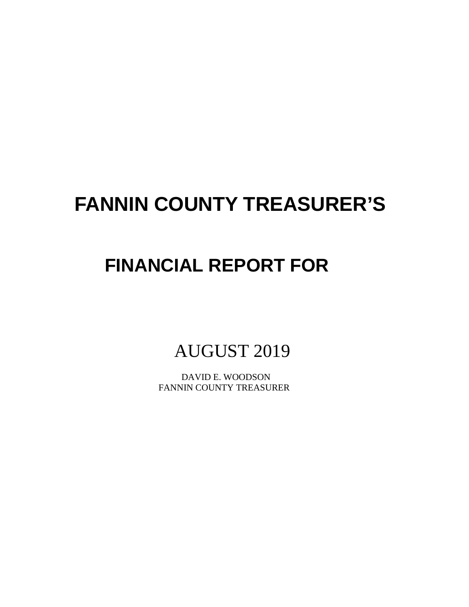# **FANNIN COUNTY TREASURER'S**

# **FINANCIAL REPORT FOR**

AUGUST 2019

 DAVID E. WOODSON FANNIN COUNTY TREASURER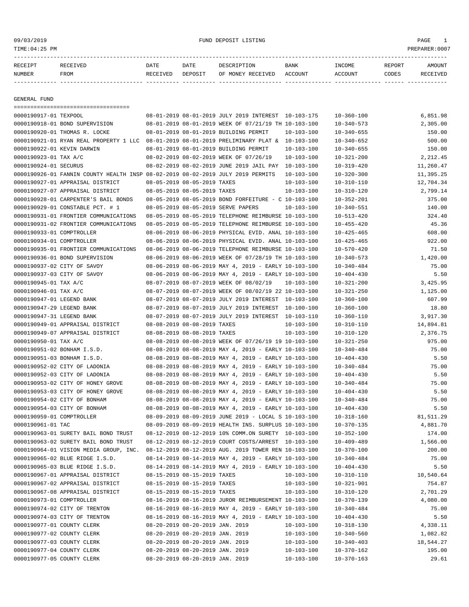| RECEIPT | RECEIVED | DATE     | DATE    | DESCRIPTION       | <b>BANK</b> | INCOME  | REPORT | AMOUNT          |
|---------|----------|----------|---------|-------------------|-------------|---------|--------|-----------------|
| NUMBER  | FROM     | RECEIVED | DEPOSIT | OF MONEY RECEIVED | ACCOUNT     | ACCOUNT | CODES  | <b>RECEIVED</b> |
|         |          |          |         |                   |             |         |        |                 |

GENERAL FUND

|                             | =====================================                                                       |                                 |                                                            |                  |                  |           |
|-----------------------------|---------------------------------------------------------------------------------------------|---------------------------------|------------------------------------------------------------|------------------|------------------|-----------|
| 0000190917-01 TEXPOOL       |                                                                                             |                                 | 08-01-2019 08-01-2019 JULY 2019 INTEREST 10-103-175        |                  | $10 - 360 - 100$ | 6,851.98  |
|                             | 0000190918-01 BOND SUPERVISION                                                              |                                 | 08-01-2019 08-01-2019 WEEK OF 07/21/19 TH 10-103-100       |                  | $10 - 340 - 573$ | 2,305.00  |
|                             | 0000190920-01 THOMAS R. LOCKE                                                               |                                 | 08-01-2019 08-01-2019 BUILDING PERMIT                      | $10 - 103 - 100$ | $10 - 340 - 655$ | 150.00    |
|                             | 0000190921-01 RYAN REAL PROPERTY 1 LLC 08-01-2019 08-01-2019 PRELIMINARY PLAT & 10-103-100  |                                 |                                                            |                  | $10 - 340 - 652$ | 500.00    |
| 0000190922-01 KEVIN DARWIN  |                                                                                             |                                 | 08-01-2019 08-01-2019 BUILDING PERMIT                      | $10 - 103 - 100$ | $10 - 340 - 655$ | 150.00    |
| 0000190923-01 TAX A/C       |                                                                                             |                                 | 08-02-2019 08-02-2019 WEEK OF 07/26/19                     | $10 - 103 - 100$ | $10 - 321 - 200$ | 2,212.45  |
| 0000190924-01 SECURUS       |                                                                                             |                                 | 08-02-2019 08-02-2019 JUNE 2019 JAIL PAY 10-103-100        |                  | $10 - 319 - 420$ | 11,260.47 |
|                             | 0000190926-01 FANNIN COUNTY HEALTH INSP 08-02-2019 08-02-2019 JULY 2019 PERMITS             |                                 |                                                            | $10 - 103 - 100$ | $10 - 320 - 300$ | 11,395.25 |
|                             | 0000190927-01 APPRAISAL DISTRICT                                                            | 08-05-2019 08-05-2019 TAXES     |                                                            | $10 - 103 - 100$ | $10 - 310 - 110$ | 12,704.34 |
|                             | 0000190927-07 APPRAISAL DISTRICT                                                            | 08-05-2019 08-05-2019 TAXES     |                                                            | $10 - 103 - 100$ | $10 - 310 - 120$ | 2,799.14  |
|                             | 0000190928-01 CARPENTER'S BAIL BONDS                                                        |                                 | 08-05-2019 08-05-2019 BOND FORFEITURE - C 10-103-100       |                  | $10 - 352 - 201$ | 375.00    |
|                             | 0000190929-01 CONSTABLE PCT. # 1                                                            |                                 | 08-05-2019 08-05-2019 SERVE PAPERS                         | $10 - 103 - 100$ | $10 - 340 - 551$ | 140.00    |
|                             | 0000190931-01 FRONTIER COMMUNICATIONS                                                       |                                 | 08-05-2019 08-05-2019 TELEPHONE REIMBURSE 10-103-100       |                  | $10 - 513 - 420$ | 324.40    |
|                             | 0000190931-02 FRONTIER COMMUNICATIONS                                                       |                                 | 08-05-2019 08-05-2019 TELEPHONE REIMBURSE 10-103-100       |                  | $10 - 455 - 420$ | 45.36     |
| 0000190933-01 COMPTROLLER   |                                                                                             |                                 | 08-06-2019 08-06-2019 PHYSICAL EVID. ANAL 10-103-100       |                  | $10 - 425 - 465$ | 608.00    |
| 0000190934-01 COMPTROLLER   |                                                                                             |                                 | 08-06-2019 08-06-2019 PHYSICAL EVID. ANAL 10-103-100       |                  | $10 - 425 - 465$ | 922.00    |
|                             | 0000190935-01 FRONTIER COMMUNICATIONS                                                       |                                 | 08-06-2019 08-06-2019 TELEPHONE REIMBURSE 10-103-100       |                  | $10 - 570 - 420$ | 71.50     |
|                             | 0000190936-01 BOND SUPERVISION                                                              |                                 | 08-06-2019 08-06-2019 WEEK OF 07/28/19 TH 10-103-100       |                  | $10 - 340 - 573$ | 1,420.00  |
| 0000190937-02 CITY OF SAVOY |                                                                                             |                                 | 08-06-2019 08-06-2019 MAY 4, 2019 - EARLY 10-103-100       |                  | $10 - 340 - 484$ | 75.00     |
| 0000190937-03 CITY OF SAVOY |                                                                                             |                                 | $08-06-2019$ $08-06-2019$ MAY 4, 2019 - EARLY 10-103-100   |                  | $10 - 404 - 430$ | 5.50      |
| 0000190945-01 TAX A/C       |                                                                                             |                                 | 08-07-2019 08-07-2019 WEEK OF 08/02/19                     | $10 - 103 - 100$ | $10 - 321 - 200$ | 3,425.95  |
| 0000190946-01 TAX A/C       |                                                                                             |                                 | 08-07-2019 08-07-2019 WEEK OF 08/02/19 22 10-103-100       |                  | $10 - 321 - 250$ | 1,125.00  |
| 0000190947-01 LEGEND BANK   |                                                                                             |                                 | 08-07-2019 08-07-2019 JULY 2019 INTEREST 10-103-100        |                  | $10 - 360 - 100$ | 607.99    |
| 0000190947-29 LEGEND BANK   |                                                                                             |                                 | 08-07-2019 08-07-2019 JULY 2019 INTEREST 10-100-100        |                  | $10 - 360 - 100$ | 18.80     |
| 0000190947-31 LEGEND BANK   |                                                                                             |                                 | 08-07-2019 08-07-2019 JULY 2019 INTEREST 10-103-110        |                  | $10 - 360 - 110$ | 3,917.30  |
|                             | 0000190949-01 APPRAISAL DISTRICT                                                            | 08-08-2019 08-08-2019 TAXES     |                                                            | $10 - 103 - 100$ | $10 - 310 - 110$ | 14,894.81 |
|                             | 0000190949-07 APPRAISAL DISTRICT                                                            | 08-08-2019 08-08-2019 TAXES     |                                                            | $10 - 103 - 100$ | $10 - 310 - 120$ | 2,376.75  |
| 0000190950-01 TAX A/C       |                                                                                             |                                 | 08-08-2019 08-08-2019 WEEK OF 07/26/19 19 10-103-100       |                  | $10 - 321 - 250$ | 975.00    |
| 0000190951-02 BONHAM I.S.D. |                                                                                             |                                 | 08-08-2019 08-08-2019 MAY 4, 2019 - EARLY 10-103-100       |                  | $10 - 340 - 484$ | 75.00     |
| 0000190951-03 BONHAM I.S.D. |                                                                                             |                                 | 08-08-2019 08-08-2019 MAY 4, 2019 - EARLY 10-103-100       |                  | $10 - 404 - 430$ | 5.50      |
|                             | 0000190952-02 CITY OF LADONIA                                                               |                                 | 08-08-2019 08-08-2019 MAY 4, 2019 - EARLY 10-103-100       |                  | $10 - 340 - 484$ | 75.00     |
|                             | 0000190952-03 CITY OF LADONIA                                                               |                                 | 08-08-2019 08-08-2019 MAY 4, 2019 - EARLY 10-103-100       |                  | $10 - 404 - 430$ | 5.50      |
|                             | 0000190953-02 CITY OF HONEY GROVE                                                           |                                 | 08-08-2019 08-08-2019 MAY 4, 2019 - EARLY 10-103-100       |                  | $10 - 340 - 484$ | 75.00     |
|                             | 0000190953-03 CITY OF HONEY GROVE                                                           |                                 | 08-08-2019 08-08-2019 MAY 4, 2019 - EARLY 10-103-100       |                  | $10 - 404 - 430$ | 5.50      |
|                             | 0000190954-02 CITY OF BONHAM                                                                |                                 | 08-08-2019 08-08-2019 MAY 4, 2019 - EARLY 10-103-100       |                  | $10 - 340 - 484$ | 75.00     |
|                             | 0000190954-03 CITY OF BONHAM                                                                |                                 | 08-08-2019 08-08-2019 MAY 4, 2019 - EARLY 10-103-100       |                  | $10 - 404 - 430$ | 5.50      |
| 0000190959-01 COMPTROLLER   |                                                                                             |                                 | 08-09-2019 08-09-2019 JUNE 2019 - LOCAL S 10-103-100       |                  | $10 - 318 - 160$ | 81,511.29 |
| 0000190961-01 TAC           |                                                                                             |                                 | 08-09-2019 08-09-2019 HEALTH INS. SURPLUS 10-103-100       |                  | $10 - 370 - 135$ | 4,881.70  |
|                             | 0000190963-01 SURETY BAIL BOND TRUST                                                        |                                 | 08-12-2019 08-12-2019 10% COMM.ON SURETY 10-103-100        |                  | $10 - 352 - 100$ | 174.00    |
|                             | 0000190963-02 SURETY BAIL BOND TRUST                                                        |                                 | 08-12-2019 08-12-2019 COURT COSTS/ARREST 10-103-100        |                  | $10 - 409 - 489$ | 1,566.00  |
|                             | 0000190964-01 VISION MEDIA GROUP, INC. 08-12-2019 08-12-2019 AUG. 2019 TOWER REN 10-103-100 |                                 |                                                            |                  | $10 - 370 - 100$ | 200.00    |
|                             | 0000190965-02 BLUE RIDGE I.S.D.                                                             |                                 | 08-14-2019 08-14-2019 MAY 4, 2019 - EARLY 10-103-100       |                  | $10 - 340 - 484$ | 75.00     |
|                             | 0000190965-03 BLUE RIDGE I.S.D.                                                             |                                 | 08-14-2019 08-14-2019 MAY 4, 2019 - EARLY 10-103-100       |                  | $10 - 404 - 430$ | 5.50      |
|                             | 0000190967-01 APPRAISAL DISTRICT                                                            | 08-15-2019 08-15-2019 TAXES     |                                                            | $10 - 103 - 100$ | $10 - 310 - 110$ | 10,540.64 |
|                             | 0000190967-02 APPRAISAL DISTRICT                                                            | 08-15-2019 08-15-2019 TAXES     |                                                            | $10 - 103 - 100$ | $10 - 321 - 901$ | 754.87    |
|                             | 0000190967-08 APPRAISAL DISTRICT                                                            | 08-15-2019 08-15-2019 TAXES     |                                                            | $10 - 103 - 100$ | $10 - 310 - 120$ | 2,701.29  |
| 0000190973-01 COMPTROLLER   |                                                                                             |                                 | 08-16-2019 08-16-2019 JUROR REIMBURSEMENT 10-103-100       |                  | $10 - 370 - 139$ | 4,080.00  |
|                             | 0000190974-02 CITY OF TRENTON                                                               |                                 | $08-16-2019$ $08-16-2019$ MAY 4, 2019 - EARLY $10-103-100$ |                  | $10 - 340 - 484$ | 75.00     |
|                             | 0000190974-03 CITY OF TRENTON                                                               |                                 | 08-16-2019 08-16-2019 MAY 4, 2019 - EARLY 10-103-100       |                  | $10 - 404 - 430$ | 5.50      |
| 0000190977-01 COUNTY CLERK  |                                                                                             | 08-20-2019 08-20-2019 JAN. 2019 |                                                            | $10 - 103 - 100$ | $10 - 318 - 130$ | 4,338.11  |
| 0000190977-02 COUNTY CLERK  |                                                                                             | 08-20-2019 08-20-2019 JAN. 2019 |                                                            | $10 - 103 - 100$ | $10 - 340 - 560$ | 1,082.82  |
| 0000190977-03 COUNTY CLERK  |                                                                                             | 08-20-2019 08-20-2019 JAN. 2019 |                                                            | $10 - 103 - 100$ | $10 - 340 - 403$ | 18,544.27 |
| 0000190977-04 COUNTY CLERK  |                                                                                             | 08-20-2019 08-20-2019 JAN. 2019 |                                                            | $10 - 103 - 100$ | $10 - 370 - 162$ | 195.00    |
| 0000190977-05 COUNTY CLERK  |                                                                                             | 08-20-2019 08-20-2019 JAN. 2019 |                                                            | $10 - 103 - 100$ | $10 - 370 - 163$ | 29.61     |
|                             |                                                                                             |                                 |                                                            |                  |                  |           |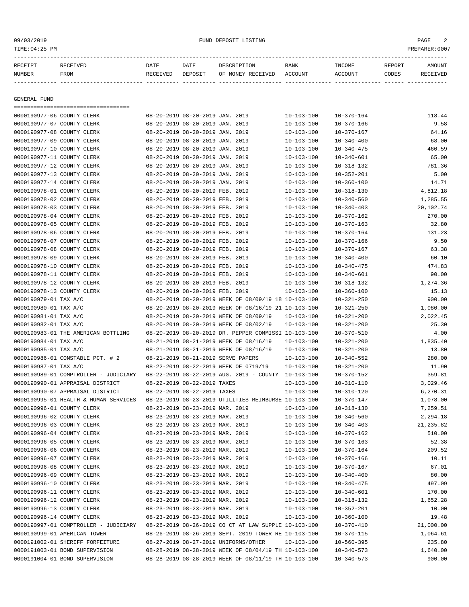| 09/03/2019<br>TIME:04:25 PM |                                       |                  |                                 | FUND DEPOSIT LISTING                                      |                  |                  |        | PAGE<br>2<br>PREPARER:0007 |
|-----------------------------|---------------------------------------|------------------|---------------------------------|-----------------------------------------------------------|------------------|------------------|--------|----------------------------|
| RECEIPT                     | <b>RECEIVED</b>                       | DATE             | DATE                            | DESCRIPTION                                               | BANK             | INCOME           | REPORT | AMOUNT                     |
| NUMBER                      | FROM                                  | RECEIVED DEPOSIT |                                 | OF MONEY RECEIVED ACCOUNT                                 |                  | ACCOUNT          | CODES  | RECEIVED                   |
|                             |                                       |                  |                                 |                                                           |                  |                  |        |                            |
| <b>GENERAL FUND</b>         | ===================================== |                  |                                 |                                                           |                  |                  |        |                            |
|                             | 0000190977-06 COUNTY CLERK            |                  | 08-20-2019 08-20-2019 JAN. 2019 |                                                           | $10 - 103 - 100$ | $10 - 370 - 164$ |        | 118.44                     |
|                             | 0000190977-07 COUNTY CLERK            |                  | 08-20-2019 08-20-2019 JAN. 2019 |                                                           | $10 - 103 - 100$ | $10 - 370 - 166$ |        | 9.58                       |
| 0000190977-08 COUNTY CLERK  |                                       |                  | 08-20-2019 08-20-2019 JAN. 2019 |                                                           | $10 - 103 - 100$ | $10 - 370 - 167$ |        | 64.16                      |
| 0000190977-09 COUNTY CLERK  |                                       |                  | 08-20-2019 08-20-2019 JAN. 2019 |                                                           | $10 - 103 - 100$ | $10 - 340 - 400$ |        | 68.00                      |
| 0000190977-10 COUNTY CLERK  |                                       |                  | 08-20-2019 08-20-2019 JAN. 2019 |                                                           | $10 - 103 - 100$ | $10 - 340 - 475$ |        | 460.59                     |
|                             | 0000190977-11 COUNTY CLERK            |                  | 08-20-2019 08-20-2019 JAN. 2019 |                                                           | $10 - 103 - 100$ | $10 - 340 - 601$ |        | 65.00                      |
|                             | 0000190977-12 COUNTY CLERK            |                  | 08-20-2019 08-20-2019 JAN. 2019 |                                                           | $10 - 103 - 100$ | $10 - 318 - 132$ |        | 781.36                     |
| 0000190977-13 COUNTY CLERK  |                                       |                  | 08-20-2019 08-20-2019 JAN. 2019 |                                                           | $10 - 103 - 100$ | $10 - 352 - 201$ |        | 5.00                       |
| 0000190977-14 COUNTY CLERK  |                                       |                  | 08-20-2019 08-20-2019 JAN. 2019 |                                                           | $10 - 103 - 100$ | $10 - 360 - 100$ |        | 14.71                      |
| 0000190978-01 COUNTY CLERK  |                                       |                  | 08-20-2019 08-20-2019 FEB. 2019 |                                                           | $10 - 103 - 100$ | $10 - 318 - 130$ |        | 4,812.18                   |
| 0000190978-02 COUNTY CLERK  |                                       |                  | 08-20-2019 08-20-2019 FEB. 2019 |                                                           | $10 - 103 - 100$ | $10 - 340 - 560$ |        | 1,285.55                   |
| 0000190978-03 COUNTY CLERK  |                                       |                  | 08-20-2019 08-20-2019 FEB. 2019 |                                                           | $10 - 103 - 100$ | $10 - 340 - 403$ |        | 20,102.74                  |
|                             | 0000190978-04 COUNTY CLERK            |                  | 08-20-2019 08-20-2019 FEB. 2019 |                                                           | $10 - 103 - 100$ | $10 - 370 - 162$ |        | 270.00                     |
| 0000190978-05 COUNTY CLERK  |                                       |                  | 08-20-2019 08-20-2019 FEB. 2019 |                                                           | $10 - 103 - 100$ | $10 - 370 - 163$ |        | 32.80                      |
| 0000190978-06 COUNTY CLERK  |                                       |                  | 08-20-2019 08-20-2019 FEB. 2019 |                                                           | $10 - 103 - 100$ | $10 - 370 - 164$ |        | 131.23                     |
| 0000190978-07 COUNTY CLERK  |                                       |                  | 08-20-2019 08-20-2019 FEB. 2019 |                                                           | $10 - 103 - 100$ | $10 - 370 - 166$ |        | 9.50                       |
|                             | 0000190978-08 COUNTY CLERK            |                  | 08-20-2019 08-20-2019 FEB. 2019 |                                                           | $10 - 103 - 100$ | $10 - 370 - 167$ |        | 63.38                      |
|                             | 0000190978-09 COUNTY CLERK            |                  | 08-20-2019 08-20-2019 FEB. 2019 |                                                           | $10 - 103 - 100$ | $10 - 340 - 400$ |        | 60.10                      |
| 0000190978-10 COUNTY CLERK  |                                       |                  | 08-20-2019 08-20-2019 FEB. 2019 |                                                           | $10 - 103 - 100$ | $10 - 340 - 475$ |        | 474.83                     |
| 0000190978-11 COUNTY CLERK  |                                       |                  | 08-20-2019 08-20-2019 FEB. 2019 |                                                           | $10 - 103 - 100$ | $10 - 340 - 601$ |        | 90.00                      |
| 0000190978-12 COUNTY CLERK  |                                       |                  | 08-20-2019 08-20-2019 FEB. 2019 |                                                           | $10 - 103 - 100$ | $10 - 318 - 132$ |        | 1,274.36                   |
| 0000190978-13 COUNTY CLERK  |                                       |                  | 08-20-2019 08-20-2019 FEB. 2019 |                                                           | $10 - 103 - 100$ | $10 - 360 - 100$ |        | 15.13                      |
| 0000190979-01 TAX A/C       |                                       |                  |                                 | 08-20-2019 08-20-2019 WEEK OF 08/09/19 18 10-103-100      |                  | $10 - 321 - 250$ |        | 900.00                     |
| 0000190980-01 TAX A/C       |                                       |                  |                                 | 08-20-2019 08-20-2019 WEEK OF 08/16/19 21 10-103-100      |                  | $10 - 321 - 250$ |        | 1,080.00                   |
| 0000190981-01 TAX A/C       |                                       |                  |                                 | 08-20-2019 08-20-2019 WEEK OF 08/09/19                    | $10 - 103 - 100$ | $10 - 321 - 200$ |        | 2,022.45                   |
| 0000190982-01 TAX A/C       |                                       |                  |                                 | 08-20-2019 08-20-2019 WEEK OF 08/02/19                    | $10 - 103 - 100$ | $10 - 321 - 200$ |        | 25.30                      |
|                             | 0000190983-01 THE AMERICAN BOTTLING   |                  |                                 | 08-20-2019 08-20-2019 DR. PEPPER COMMISSI 10-103-100      |                  | $10 - 370 - 510$ |        | 4.00                       |
| 0000190984-01 TAX A/C       |                                       |                  |                                 | 08-21-2019 08-21-2019 WEEK OF 08/16/19                    | $10 - 103 - 100$ | $10 - 321 - 200$ |        | 1,835.40                   |
| 0000190985-01 TAX A/C       |                                       |                  |                                 | 08-21-2019 08-21-2019 WEEK OF 08/16/19                    | $10 - 103 - 100$ | $10 - 321 - 200$ |        | 13.80                      |
|                             | 0000190986-01 CONSTABLE PCT. # 2      |                  |                                 | 08-21-2019 08-21-2019 SERVE PAPERS                        | $10 - 103 - 100$ | $10 - 340 - 552$ |        | 280.00                     |
| 0000190987-01 TAX A/C       |                                       |                  |                                 | 08-22-2019 08-22-2019 WEEK OF 0719/19                     | $10 - 103 - 100$ | $10 - 321 - 200$ |        | 11.90                      |
|                             | 0000190989-01 COMPTROLLER - JUDICIARY |                  |                                 | $08-22-2019$ $08-22-2019$ AUG. 2019 - COUNTY $10-103-100$ |                  | $10 - 370 - 152$ |        | 359.81                     |
|                             | 0000190990-01 APPRAISAL DISTRICT      |                  | 08-22-2019 08-22-2019 TAXES     |                                                           | $10 - 103 - 100$ | $10 - 310 - 110$ |        | 3,029.46                   |
|                             | 0000190990-07 APPRAISAL DISTRICT      |                  | 08-22-2019 08-22-2019 TAXES     |                                                           | $10 - 103 - 100$ | $10 - 310 - 120$ |        | 6,270.31                   |
|                             | 0000190995-01 HEALTH & HUMAN SERVICES |                  |                                 | 08-23-2019 08-23-2019 UTILITIES REIMBURSE 10-103-100      |                  | $10 - 370 - 147$ |        | 1,078.00                   |
| 0000190996-01 COUNTY CLERK  |                                       |                  | 08-23-2019 08-23-2019 MAR. 2019 |                                                           | $10 - 103 - 100$ | $10 - 318 - 130$ |        | 7,259.51                   |
| 0000190996-02 COUNTY CLERK  |                                       |                  | 08-23-2019 08-23-2019 MAR. 2019 |                                                           | $10 - 103 - 100$ | $10 - 340 - 560$ |        | 2,294.18                   |
| 0000190996-03 COUNTY CLERK  |                                       |                  | 08-23-2019 08-23-2019 MAR. 2019 |                                                           | $10 - 103 - 100$ | $10 - 340 - 403$ |        | 21, 235.82                 |
| 0000190996-04 COUNTY CLERK  |                                       |                  | 08-23-2019 08-23-2019 MAR. 2019 |                                                           | $10 - 103 - 100$ | $10 - 370 - 162$ |        | 510.00                     |
|                             | 0000190996-05 COUNTY CLERK            |                  | 08-23-2019 08-23-2019 MAR. 2019 |                                                           | $10 - 103 - 100$ | $10 - 370 - 163$ |        | 52.38                      |
| 0000190996-06 COUNTY CLERK  |                                       |                  | 08-23-2019 08-23-2019 MAR. 2019 |                                                           | $10 - 103 - 100$ | $10 - 370 - 164$ |        | 209.52                     |

0000190996-07 COUNTY CLERK 08-23-2019 08-23-2019 MAR. 2019 10-103-100 10-370-166 10.11 0000190996-08 COUNTY CLERK 08-23-2019 08-23-2019 MAR. 2019 10-103-100 10-370-167 67.01 0000190996-09 COUNTY CLERK 08-23-2019 08-23-2019 MAR. 2019 10-103-100 10-340-400 80.00 0000190996-10 COUNTY CLERK 08-23-2019 08-23-2019 MAR. 2019 10-103-100 10-340-475 497.09 0000190996-11 COUNTY CLERK 08-23-2019 08-23-2019 MAR. 2019 10-103-100 10-340-601 170.00 0000190996-12 COUNTY CLERK 08-23-2019 08-23-2019 MAR. 2019 10-103-100 10-318-132 1,652.28 0000190996-13 COUNTY CLERK 08-23-2019 08-23-2019 MAR. 2019 10-103-100 10-352-201 10.00 0000190996-14 COUNTY CLERK 08-23-2019 08-23-2019 MAR. 2019 10-103-100 10-360-100 10-360-100 19.48 0000190997-01 COMPTROLLER - JUDICIARY 08-26-2019 08-26-2019 CO CT AT LAW SUPPLE 10-103-100 10-370-410 21,000.00 0000190999-01 AMERICAN TOWER 08-26-2019 08-26-2019 SEPT. 2019 TOWER RE 10-103-100 10-370-115 1,064.61 0000191002-01 SHERIFF FORFEITURE 08-27-2019 08-27-2019 UNIFORMS/OTHER 10-103-100 10-560-395 235.80 0000191003-01 BOND SUPERVISION 08-28-2019 08-28-2019 WEEK OF 08/04/19 TH 10-103-100 10-340-573 1,640.00 0000191004-01 BOND SUPERVISION 08-28-2019 08-28-2019 WEEK OF 08/11/19 TH 10-103-100 10-340-573 900.00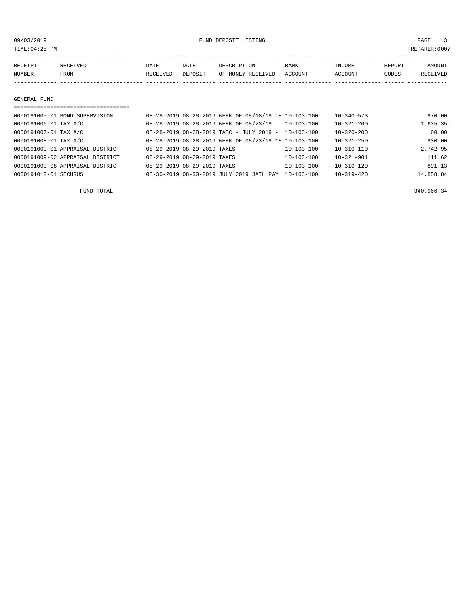TIME:04:25 PM PREPARER:0007

| RECEIPT       | RECEIVED | <b>DATE</b> | DATE    | DESCRIPTION       | <b>BANK</b> | INCOME  | REPORT | AMOUNT   |
|---------------|----------|-------------|---------|-------------------|-------------|---------|--------|----------|
| <b>NUMBER</b> | FROM     | RECEIVED    | DEPOSIT | OF MONEY RECEIVED | ACCOUNT     | ACCOUNT | CODES  | RECEIVED |
|               |          |             |         |                   |             |         |        |          |

## GENERAL FUND

| 0000191005-01 BOND SUPERVISION   | 08-28-2019 08-28-2019 WEEK OF 08/18/19 TH 10-103-100 |                  | $10 - 340 - 573$ | 970.00    |
|----------------------------------|------------------------------------------------------|------------------|------------------|-----------|
| 0000191006-01 TAX A/C            | 08-28-2019 08-28-2019 WEEK OF 08/23/19               | 10-103-100       | $10 - 321 - 200$ | 1,635.35  |
| 0000191007-01 TAX A/C            | $08-28-2019$ $08-28-2019$ TABC - JULY 2019 -         | $10 - 103 - 100$ | $10 - 320 - 200$ | 60.00     |
| 0000191008-01 TAX A/C            | 08-28-2019 08-28-2019 WEEK OF 08/23/19 18 10-103-100 |                  | $10 - 321 - 250$ | 930.00    |
| 0000191009-01 APPRAISAL DISTRICT | 08-29-2019 08-29-2019 TAXES                          | $10 - 103 - 100$ | $10 - 310 - 110$ | 2,742.95  |
| 0000191009-02 APPRAISAL DISTRICT | 08-29-2019 08-29-2019 TAXES                          | $10 - 103 - 100$ | $10 - 321 - 901$ | 111.62    |
| 0000191009-08 APPRAISAL DISTRICT | 08-29-2019 08-29-2019 TAXES                          | $10 - 103 - 100$ | $10 - 310 - 120$ | 891.13    |
| 0000191012-01 SECURUS            | 08-30-2019 08-30-2019 JULY 2019 JAIL PAY             | $10 - 103 - 100$ | $10 - 319 - 420$ | 14,858.84 |

FUND TOTAL 340,966.34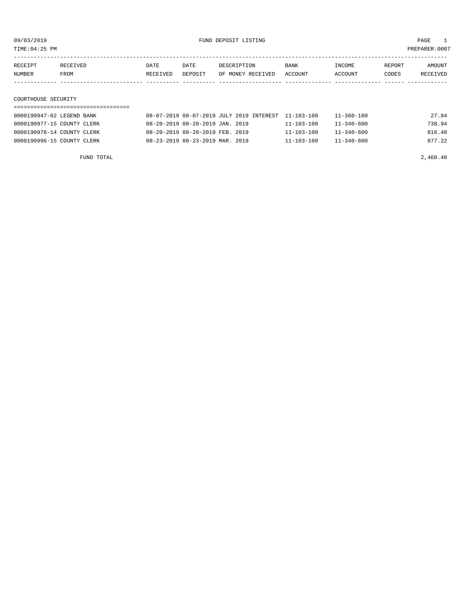TIME:04:25 PM PREPARER:0007

| RECEIPT | RECEIVED | DATE     | DATE    | DESCRIPTION       | BANK    | INCOME  | REPORT | AMOUNT   |
|---------|----------|----------|---------|-------------------|---------|---------|--------|----------|
| NUMBER  | FROM     | RECEIVED | DEPOSIT | OF MONEY RECEIVED | ACCOUNT | ACCOUNT | CODES  | RECEIVED |
|         |          |          |         |                   |         |         |        |          |
|         |          |          |         |                   |         |         |        |          |

## COURTHOUSE SECURITY

| 0000190947-02 LEGEND BANK  | 08-07-2019 08-07-2019 JULY 2019 INTEREST 11-103-100 |                  | 11-360-100       | 27.84  |
|----------------------------|-----------------------------------------------------|------------------|------------------|--------|
| 0000190977-15 COUNTY CLERK | 08-20-2019 08-20-2019 JAN. 2019                     | $11 - 103 - 100$ | $11 - 340 - 600$ | 738.94 |
| 0000190978-14 COUNTY CLERK | 08-20-2019 08-20-2019 FEB. 2019                     | $11 - 103 - 100$ | $11 - 340 - 600$ | 816.48 |
| 0000190996-15 COUNTY CLERK | 08-23-2019 08-23-2019 MAR. 2019                     | $11 - 103 - 100$ | $11 - 340 - 600$ | 877.22 |

FUND TOTAL  $2,460.48$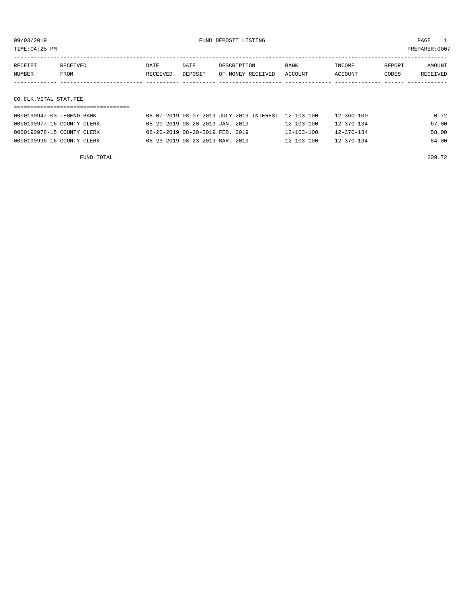TIME:04:25 PM PREPARER:0007

| RECEIPT | RECEIVED. | DATE     | DATE    | DESCRIPTION       | BANK    | <b>INCOME</b> | REPORT | AMOUNT          |
|---------|-----------|----------|---------|-------------------|---------|---------------|--------|-----------------|
| NUMBER  | FROM      | RECEIVED | DEPOSIT | OF MONEY RECEIVED | ACCOUNT | ACCOUNT       | CODES  | <b>RECEIVED</b> |
|         |           |          |         |                   |         |               |        |                 |

## CO.CLK.VITAL STAT.FEE

| 0000190947-03 LEGEND BANK  | 08-07-2019 08-07-2019 JULY 2019 INTEREST 12-103-100 |                  | 12-360-100       | 0.72  |
|----------------------------|-----------------------------------------------------|------------------|------------------|-------|
| 0000190977-16 COUNTY CLERK | 08-20-2019 08-20-2019 JAN. 2019                     | $12 - 103 - 100$ | $12 - 370 - 134$ | 67.00 |
| 0000190978-15 COUNTY CLERK | 08-20-2019 08-20-2019 FEB. 2019                     | $12 - 103 - 100$ | $12 - 370 - 134$ | 58.00 |
| 0000190996-16 COUNTY CLERK | 08-23-2019 08-23-2019 MAR. 2019                     | 12-103-100       | $12 - 370 - 134$ | 84.00 |

FUND TOTAL 209.72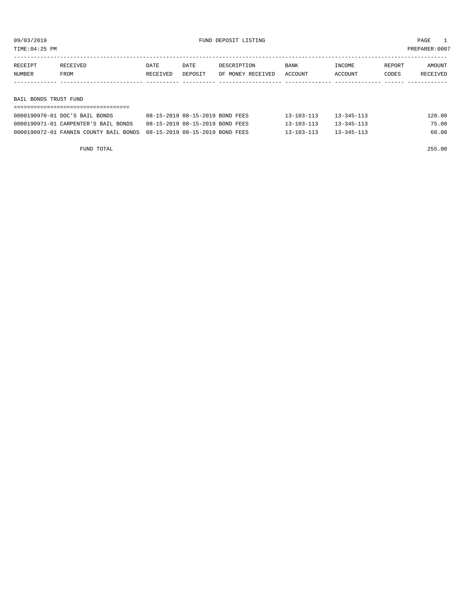TIME:04:25 PM PREPARER:0007

| RECEIPT               | RECEIVED | DATE     | DATE    | DESCRIPTION       | <b>BANK</b> | INCOME  | REPORT | AMOUNT   |
|-----------------------|----------|----------|---------|-------------------|-------------|---------|--------|----------|
| NUMBER                | FROM     | RECEIVED | DEPOSIT | OF MONEY RECEIVED | ACCOUNT     | ACCOUNT | CODES  | RECEIVED |
|                       |          |          |         |                   |             |         |        |          |
|                       |          |          |         |                   |             |         |        |          |
| BAIL BONDS TRUST FUND |          |          |         |                   |             |         |        |          |

| 0000190970-01 DOC'S BAIL BONDS                                         | 08-15-2019 08-15-2019 BOND FEES | $13 - 103 - 113$ | $13 - 345 - 113$ | 120.00 |  |  |  |  |  |
|------------------------------------------------------------------------|---------------------------------|------------------|------------------|--------|--|--|--|--|--|
| 0000190971-01 CARPENTER'S BAIL BONDS                                   | 08-15-2019 08-15-2019 BOND FEES | $13 - 103 - 113$ | $13 - 345 - 113$ | 75.00  |  |  |  |  |  |
| 0000190972-01 FANNIN COUNTY BAIL BONDS 08-15-2019 08-15-2019 BOND FEES |                                 | $13 - 103 - 113$ | $13 - 345 - 113$ | 60.00  |  |  |  |  |  |

FUND TOTAL 255.00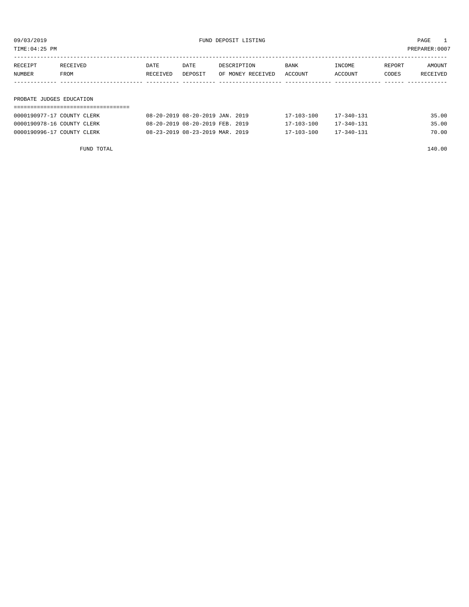09/03/2019 FUND DEPOSIT LISTING PAGE 1

| RECEIPT | RECEIVED                 | DATE     | DATE    | DESCRIPTION       | BANK    | INCOME  | REPORT | AMOUNT   |  |  |  |
|---------|--------------------------|----------|---------|-------------------|---------|---------|--------|----------|--|--|--|
| NUMBER  | FROM                     | RECEIVED | DEPOSIT | OF MONEY RECEIVED | ACCOUNT | ACCOUNT | CODES  | RECEIVED |  |  |  |
|         |                          |          |         |                   |         |         |        |          |  |  |  |
|         |                          |          |         |                   |         |         |        |          |  |  |  |
|         | PROBATE JUDGES EDUCATION |          |         |                   |         |         |        |          |  |  |  |
|         |                          |          |         |                   |         |         |        |          |  |  |  |

| 0000190977-17 COUNTY CLERK | 08-20-2019 08-20-2019 JAN. 2019 | $17 - 103 - 100$ | $17 - 340 - 131$ | 35.00 |
|----------------------------|---------------------------------|------------------|------------------|-------|
| 0000190978-16 COUNTY CLERK | 08-20-2019 08-20-2019 FEB. 2019 | $17 - 103 - 100$ | $17 - 340 - 131$ | 35.00 |
| 0000190996-17 COUNTY CLERK | 08-23-2019 08-23-2019 MAR. 2019 | $17 - 103 - 100$ | 17-340-131       | 70.00 |

FUND TOTAL 140.00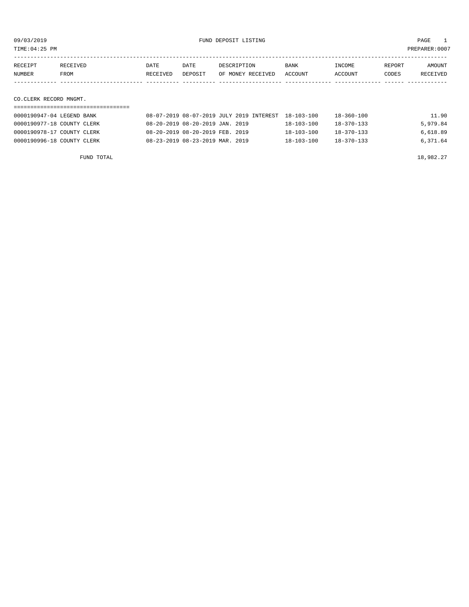TIME:04:25 PM PREPARER:0007

| RECEIPT | RECEIVED | DATE     | DATE    | DESCRIPTION       | <b>BANK</b> | INCOME  | REPORT | AMOUNT   |
|---------|----------|----------|---------|-------------------|-------------|---------|--------|----------|
| NUMBER  | FROM     | RECEIVED | DEPOSIT | OF MONEY RECEIVED | ACCOUNT     | ACCOUNT | CODES  | RECEIVED |
|         |          |          |         |                   |             |         |        |          |
|         |          |          |         |                   |             |         |        |          |

## CO.CLERK RECORD MNGMT.

| 0000190947-04 LEGEND BANK  | 08-07-2019 08-07-2019 JULY 2019 INTEREST 18-103-100 |                  | 18-360-100       | 11.90    |
|----------------------------|-----------------------------------------------------|------------------|------------------|----------|
| 0000190977-18 COUNTY CLERK | 08-20-2019 08-20-2019 JAN. 2019                     | $18 - 103 - 100$ | $18 - 370 - 133$ | 5,979.84 |
| 0000190978-17 COUNTY CLERK | 08-20-2019 08-20-2019 FEB. 2019                     | $18 - 103 - 100$ | $18 - 370 - 133$ | 6,618.89 |
| 0000190996-18 COUNTY CLERK | 08-23-2019 08-23-2019 MAR. 2019                     | $18 - 103 - 100$ | 18-370-133       | 6,371.64 |

FUND TOTAL  $18,982.27$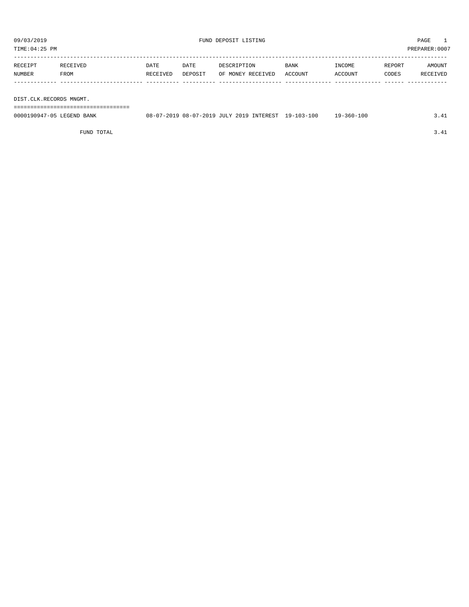TIME:04:25 PM PREPARER:0007

| RECEIPT | RECEIVED | DATE     | DATE    | DESCRIPTION       | <b>BANK</b> | INCOME  | REPORT | AMOUNT   |
|---------|----------|----------|---------|-------------------|-------------|---------|--------|----------|
| NUMBER  | FROM     | RECEIVED | DEPOSIT | OF MONEY RECEIVED | ACCOUNT     | ACCOUNT | CODES  | RECEIVED |
|         |          |          |         |                   |             |         |        |          |
|         |          |          |         |                   |             |         |        |          |

DIST.CLK.RECORDS MNGMT.

===================================

| 0000190947-05 LEGEND BANK | 08-07-2019 08-07-2019 JULY 2019 INTEREST |  | 19-103-100 | 19-360-100 | $\overline{a}$ |
|---------------------------|------------------------------------------|--|------------|------------|----------------|
|                           |                                          |  |            |            |                |

FUND TOTAL 3.41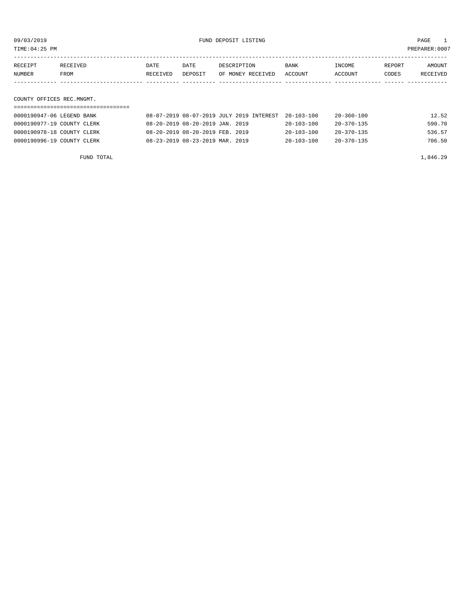TIME:04:25 PM PREPARER:0007

| AMOUNT   |
|----------|
|          |
| RECEIVED |
|          |
|          |

COUNTY OFFICES REC.MNGMT.

| 0000190947-06 LEGEND BANK  | 08-07-2019 08-07-2019 JULY 2019 INTEREST 20-103-100 |                  | 20-360-100       | 12.52  |
|----------------------------|-----------------------------------------------------|------------------|------------------|--------|
| 0000190977-19 COUNTY CLERK | 08-20-2019 08-20-2019 JAN. 2019                     | $20 - 103 - 100$ | $20 - 370 - 135$ | 590.70 |
| 0000190978-18 COUNTY CLERK | 08-20-2019 08-20-2019 FEB. 2019                     | $20 - 103 - 100$ | $20 - 370 - 135$ | 536.57 |
| 0000190996-19 COUNTY CLERK | 08-23-2019 08-23-2019 MAR. 2019                     | $20 - 103 - 100$ | $20 - 370 - 135$ | 706.50 |

FUND TOTAL  $1,846.29$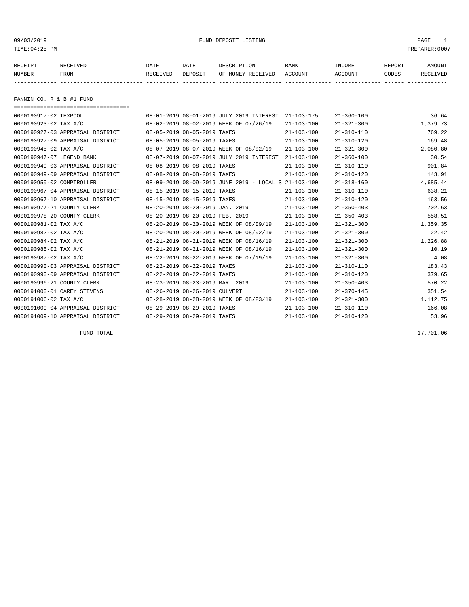## 09/03/2019 FUND DEPOSIT LISTING PAGE 1

| RECEIPT | <b>RECEIVED</b> | DATE     | DATE    | דידס דפר/פתח         | <b>BANK</b> | INCOME  | REPORT | AMOUNT          |
|---------|-----------------|----------|---------|----------------------|-------------|---------|--------|-----------------|
| NUMBER  | FROM            | RECEIVED | DEPOSIT | RECEIVED<br>OF MONEY | ACCOUNT     | ACCOUNT | CODES  | <b>RECEIVED</b> |
|         |                 |          |         |                      |             |         |        |                 |

FANNIN CO. R & B #1 FUND

===================================

| 0000190917-02 TEXPOOL            |                                 | 08-01-2019 08-01-2019 JULY 2019 INTEREST             | $21 - 103 - 175$ | $21 - 360 - 100$ | 36.64    |
|----------------------------------|---------------------------------|------------------------------------------------------|------------------|------------------|----------|
| 0000190923-02 TAX A/C            |                                 | 08-02-2019 08-02-2019 WEEK OF 07/26/19               | $21 - 103 - 100$ | $21 - 321 - 300$ | 1,379.73 |
| 0000190927-03 APPRAISAL DISTRICT | 08-05-2019 08-05-2019 TAXES     |                                                      | $21 - 103 - 100$ | $21 - 310 - 110$ | 769.22   |
| 0000190927-09 APPRAISAL DISTRICT | 08-05-2019 08-05-2019 TAXES     |                                                      | $21 - 103 - 100$ | $21 - 310 - 120$ | 169.48   |
| 0000190945-02 TAX A/C            |                                 | 08-07-2019 08-07-2019 WEEK OF 08/02/19               | $21 - 103 - 100$ | $21 - 321 - 300$ | 2,080.80 |
| 0000190947-07 LEGEND BANK        |                                 | 08-07-2019 08-07-2019 JULY 2019 INTEREST             | $21 - 103 - 100$ | $21 - 360 - 100$ | 30.54    |
| 0000190949-03 APPRAISAL DISTRICT | 08-08-2019 08-08-2019 TAXES     |                                                      | $21 - 103 - 100$ | $21 - 310 - 110$ | 901.84   |
| 0000190949-09 APPRAISAL DISTRICT | 08-08-2019 08-08-2019 TAXES     |                                                      | $21 - 103 - 100$ | $21 - 310 - 120$ | 143.91   |
| 0000190959-02 COMPTROLLER        |                                 | 08-09-2019 08-09-2019 JUNE 2019 - LOCAL S 21-103-100 |                  | $21 - 318 - 160$ | 4,685.44 |
| 0000190967-04 APPRAISAL DISTRICT | 08-15-2019 08-15-2019 TAXES     |                                                      | $21 - 103 - 100$ | $21 - 310 - 110$ | 638.21   |
| 0000190967-10 APPRAISAL DISTRICT | 08-15-2019 08-15-2019 TAXES     |                                                      | $21 - 103 - 100$ | $21 - 310 - 120$ | 163.56   |
| 0000190977-21 COUNTY CLERK       | 08-20-2019 08-20-2019 JAN. 2019 |                                                      | $21 - 103 - 100$ | $21 - 350 - 403$ | 702.63   |
| 0000190978-20 COUNTY CLERK       | 08-20-2019 08-20-2019 FEB. 2019 |                                                      | $21 - 103 - 100$ | $21 - 350 - 403$ | 558.51   |
| 0000190981-02 TAX A/C            |                                 | 08-20-2019 08-20-2019 WEEK OF 08/09/19               | $21 - 103 - 100$ | $21 - 321 - 300$ | 1,359.35 |
| 0000190982-02 TAX A/C            |                                 | 08-20-2019 08-20-2019 WEEK OF 08/02/19               | $21 - 103 - 100$ | $21 - 321 - 300$ | 22.42    |
| 0000190984-02 TAX A/C            |                                 | 08-21-2019 08-21-2019 WEEK OF 08/16/19               | $21 - 103 - 100$ | $21 - 321 - 300$ | 1,226.88 |
| 0000190985-02 TAX A/C            |                                 | 08-21-2019 08-21-2019 WEEK OF 08/16/19               | $21 - 103 - 100$ | $21 - 321 - 300$ | 10.19    |
| 0000190987-02 TAX A/C            |                                 | 08-22-2019 08-22-2019 WEEK OF 07/19/19               | $21 - 103 - 100$ | $21 - 321 - 300$ | 4.08     |
| 0000190990-03 APPRAISAL DISTRICT | 08-22-2019 08-22-2019 TAXES     |                                                      | $21 - 103 - 100$ | $21 - 310 - 110$ | 183.43   |
| 0000190990-09 APPRAISAL DISTRICT | 08-22-2019 08-22-2019 TAXES     |                                                      | $21 - 103 - 100$ | $21 - 310 - 120$ | 379.65   |
| 0000190996-21 COUNTY CLERK       | 08-23-2019 08-23-2019 MAR. 2019 |                                                      | $21 - 103 - 100$ | $21 - 350 - 403$ | 570.22   |
| 0000191000-01 CAREY STEVENS      | 08-26-2019 08-26-2019 CULVERT   |                                                      | $21 - 103 - 100$ | $21 - 370 - 145$ | 351.54   |
| 0000191006-02 TAX A/C            |                                 | 08-28-2019 08-28-2019 WEEK OF 08/23/19               | $21 - 103 - 100$ | $21 - 321 - 300$ | 1,112.75 |
| 0000191009-04 APPRAISAL DISTRICT | 08-29-2019 08-29-2019 TAXES     |                                                      | $21 - 103 - 100$ | $21 - 310 - 110$ | 166.08   |
| 0000191009-10 APPRAISAL DISTRICT | 08-29-2019 08-29-2019 TAXES     |                                                      | $21 - 103 - 100$ | $21 - 310 - 120$ | 53.96    |

FUND TOTAL 17,701.06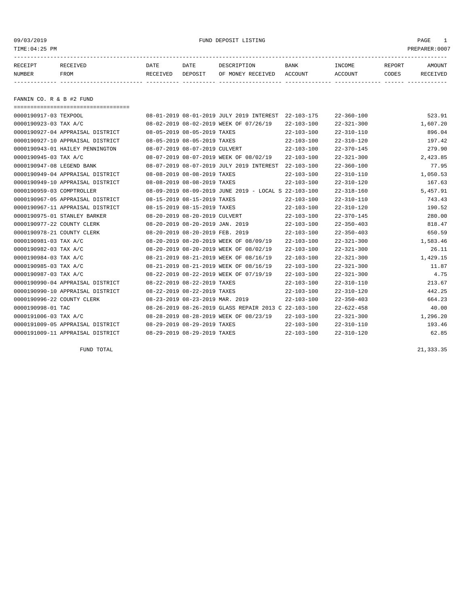## 09/03/2019 FUND DEPOSIT LISTING PAGE 1

| RECEIPT | <b>RECEIVED</b> | DATE     | DATE    | DESCRIPTION          | <b>BANK</b>    | INCOME  | <b>REPORT</b> | AMOUNT          |
|---------|-----------------|----------|---------|----------------------|----------------|---------|---------------|-----------------|
| NUMBER  | FROM            | RECEIVED | DEPOSIT | RECEIVED<br>OF MONEY | <b>ACCOUNT</b> | ACCOUNT | CODES         | <b>RECEIVED</b> |
|         |                 |          |         |                      |                |         |               |                 |

FANNIN CO. R & B #2 FUND

| ====================================== |                                 |                                                      |                  |                  |          |
|----------------------------------------|---------------------------------|------------------------------------------------------|------------------|------------------|----------|
| 0000190917-03 TEXPOOL                  |                                 | 08-01-2019 08-01-2019 JULY 2019 INTEREST             | $22 - 103 - 175$ | $22 - 360 - 100$ | 523.91   |
| 0000190923-03 TAX A/C                  |                                 | 08-02-2019 08-02-2019 WEEK OF 07/26/19               | $22 - 103 - 100$ | $22 - 321 - 300$ | 1,607.20 |
| 0000190927-04 APPRAISAL DISTRICT       | 08-05-2019 08-05-2019 TAXES     |                                                      | $22 - 103 - 100$ | $22 - 310 - 110$ | 896.04   |
| 0000190927-10 APPRAISAL DISTRICT       | 08-05-2019 08-05-2019 TAXES     |                                                      | $22 - 103 - 100$ | $22 - 310 - 120$ | 197.42   |
| 0000190943-01 HAILEY PENNINGTON        | 08-07-2019 08-07-2019 CULVERT   |                                                      | $22 - 103 - 100$ | $22 - 370 - 145$ | 279.90   |
| 0000190945-03 TAX A/C                  |                                 | 08-07-2019 08-07-2019 WEEK OF 08/02/19               | $22 - 103 - 100$ | $22 - 321 - 300$ | 2,423.85 |
| 0000190947-08 LEGEND BANK              |                                 | 08-07-2019 08-07-2019 JULY 2019 INTEREST             | $22 - 103 - 100$ | $22 - 360 - 100$ | 77.95    |
| 0000190949-04 APPRAISAL DISTRICT       | 08-08-2019 08-08-2019 TAXES     |                                                      | $22 - 103 - 100$ | $22 - 310 - 110$ | 1,050.53 |
| 0000190949-10 APPRAISAL DISTRICT       | 08-08-2019 08-08-2019 TAXES     |                                                      | $22 - 103 - 100$ | $22 - 310 - 120$ | 167.63   |
| 0000190959-03 COMPTROLLER              |                                 | 08-09-2019 08-09-2019 JUNE 2019 - LOCAL S 22-103-100 |                  | $22 - 318 - 160$ | 5,457.91 |
| 0000190967-05 APPRAISAL DISTRICT       | 08-15-2019 08-15-2019 TAXES     |                                                      | $22 - 103 - 100$ | $22 - 310 - 110$ | 743.43   |
| 0000190967-11 APPRAISAL DISTRICT       | 08-15-2019 08-15-2019 TAXES     |                                                      | $22 - 103 - 100$ | $22 - 310 - 120$ | 190.52   |
| 0000190975-01 STANLEY BARKER           | 08-20-2019 08-20-2019 CULVERT   |                                                      | $22 - 103 - 100$ | $22 - 370 - 145$ | 280.00   |
| 0000190977-22 COUNTY CLERK             | 08-20-2019 08-20-2019 JAN. 2019 |                                                      | $22 - 103 - 100$ | $22 - 350 - 403$ | 818.47   |
| 0000190978-21 COUNTY CLERK             | 08-20-2019 08-20-2019 FEB. 2019 |                                                      | $22 - 103 - 100$ | $22 - 350 - 403$ | 650.59   |
| 0000190981-03 TAX A/C                  |                                 | 08-20-2019 08-20-2019 WEEK OF 08/09/19               | $22 - 103 - 100$ | $22 - 321 - 300$ | 1,583.46 |
| 0000190982-03 TAX A/C                  |                                 | 08-20-2019 08-20-2019 WEEK OF 08/02/19               | $22 - 103 - 100$ | $22 - 321 - 300$ | 26.11    |
| 0000190984-03 TAX A/C                  |                                 | 08-21-2019 08-21-2019 WEEK OF 08/16/19               | $22 - 103 - 100$ | $22 - 321 - 300$ | 1,429.15 |
| 0000190985-03 TAX A/C                  |                                 | 08-21-2019 08-21-2019 WEEK OF 08/16/19               | $22 - 103 - 100$ | $22 - 321 - 300$ | 11.87    |
| 0000190987-03 TAX A/C                  |                                 | 08-22-2019 08-22-2019 WEEK OF 07/19/19               | $22 - 103 - 100$ | $22 - 321 - 300$ | 4.75     |
| 0000190990-04 APPRAISAL DISTRICT       | 08-22-2019 08-22-2019 TAXES     |                                                      | $22 - 103 - 100$ | $22 - 310 - 110$ | 213.67   |
| 0000190990-10 APPRAISAL DISTRICT       | 08-22-2019 08-22-2019 TAXES     |                                                      | $22 - 103 - 100$ | $22 - 310 - 120$ | 442.25   |
| 0000190996-22 COUNTY CLERK             | 08-23-2019 08-23-2019 MAR. 2019 |                                                      | $22 - 103 - 100$ | $22 - 350 - 403$ | 664.23   |
| 0000190998-01 TAC                      |                                 | 08-26-2019 08-26-2019 GLASS REPAIR 2013 C 22-103-100 |                  | $22 - 622 - 458$ | 40.00    |
| 0000191006-03 TAX A/C                  |                                 | 08-28-2019 08-28-2019 WEEK OF 08/23/19               | $22 - 103 - 100$ | $22 - 321 - 300$ | 1,296.20 |
| 0000191009-05 APPRAISAL DISTRICT       | 08-29-2019 08-29-2019 TAXES     |                                                      | $22 - 103 - 100$ | $22 - 310 - 110$ | 193.46   |
| 0000191009-11 APPRAISAL DISTRICT       | 08-29-2019 08-29-2019 TAXES     |                                                      | $22 - 103 - 100$ | $22 - 310 - 120$ | 62.85    |

FUND TOTAL 21,333.35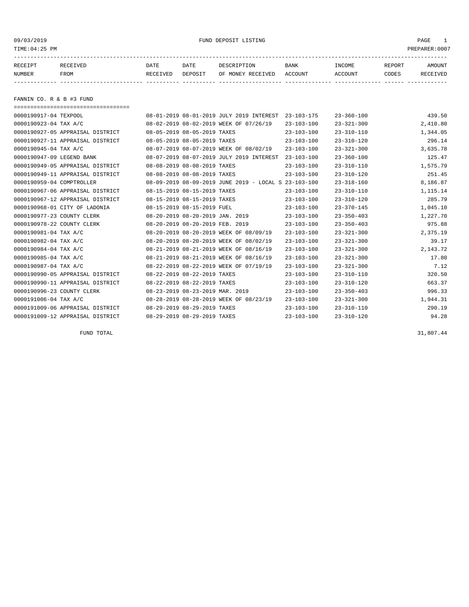## 09/03/2019 FUND DEPOSIT LISTING PAGE 1

| RECEIPT | <b>RECEIVED</b> | DATE            | DATE    | DESCRIPTION              | BANK    | INCOME        | REPORT | AMOUNT          |
|---------|-----------------|-----------------|---------|--------------------------|---------|---------------|--------|-----------------|
| NUMBER  | FROM            | <b>RECEIVED</b> | DEPOSIT | RECEIVED<br>MONE Y<br>つ戸 | ACCOUNT | <b>CCOUNT</b> | CODES  | <b>RECEIVED</b> |
|         |                 |                 |         |                          |         |               |        |                 |

FANNIN CO. R & B #3 FUND

===================================

| 0000190917-04 TEXPOOL            |                                 | 08-01-2019 08-01-2019 JULY 2019 INTEREST             | $23 - 103 - 175$ | $23 - 360 - 100$ | 439.50     |
|----------------------------------|---------------------------------|------------------------------------------------------|------------------|------------------|------------|
| 0000190923-04 TAX A/C            |                                 | 08-02-2019 08-02-2019 WEEK OF 07/26/19               | $23 - 103 - 100$ | $23 - 321 - 300$ | 2,410.80   |
| 0000190927-05 APPRAISAL DISTRICT | 08-05-2019 08-05-2019 TAXES     |                                                      | $23 - 103 - 100$ | $23 - 310 - 110$ | 1,344.05   |
| 0000190927-11 APPRAISAL DISTRICT | 08-05-2019 08-05-2019 TAXES     |                                                      | $23 - 103 - 100$ | $23 - 310 - 120$ | 296.14     |
| 0000190945-04 TAX A/C            |                                 | 08-07-2019 08-07-2019 WEEK OF 08/02/19               | $23 - 103 - 100$ | $23 - 321 - 300$ | 3,635.78   |
| 0000190947-09 LEGEND BANK        |                                 | 08-07-2019 08-07-2019 JULY 2019 INTEREST             | $23 - 103 - 100$ | $23 - 360 - 100$ | 125.47     |
| 0000190949-05 APPRAISAL DISTRICT | 08-08-2019 08-08-2019 TAXES     |                                                      | $23 - 103 - 100$ | $23 - 310 - 110$ | 1,575.79   |
| 0000190949-11 APPRAISAL DISTRICT | 08-08-2019 08-08-2019 TAXES     |                                                      | $23 - 103 - 100$ | $23 - 310 - 120$ | 251.45     |
| 0000190959-04 COMPTROLLER        |                                 | 08-09-2019 08-09-2019 JUNE 2019 - LOCAL S 23-103-100 |                  | $23 - 318 - 160$ | 8,186.87   |
| 0000190967-06 APPRAISAL DISTRICT | 08-15-2019 08-15-2019 TAXES     |                                                      | $23 - 103 - 100$ | $23 - 310 - 110$ | 1,115.14   |
| 0000190967-12 APPRAISAL DISTRICT | 08-15-2019 08-15-2019 TAXES     |                                                      | $23 - 103 - 100$ | $23 - 310 - 120$ | 285.79     |
| 0000190968-01 CITY OF LADONIA    | 08-15-2019 08-15-2019 FUEL      |                                                      | $23 - 103 - 100$ | $23 - 370 - 145$ | 1,045.10   |
| 0000190977-23 COUNTY CLERK       | 08-20-2019 08-20-2019 JAN. 2019 |                                                      | $23 - 103 - 100$ | $23 - 350 - 403$ | 1,227.70   |
| 0000190978-22 COUNTY CLERK       | 08-20-2019 08-20-2019 FEB. 2019 |                                                      | $23 - 103 - 100$ | $23 - 350 - 403$ | 975.88     |
| 0000190981-04 TAX A/C            |                                 | 08-20-2019 08-20-2019 WEEK OF 08/09/19               | $23 - 103 - 100$ | $23 - 321 - 300$ | 2,375.19   |
| 0000190982-04 TAX A/C            |                                 | 08-20-2019 08-20-2019 WEEK OF 08/02/19               | $23 - 103 - 100$ | $23 - 321 - 300$ | 39.17      |
| 0000190984-04 TAX A/C            |                                 | 08-21-2019 08-21-2019 WEEK OF 08/16/19               | $23 - 103 - 100$ | $23 - 321 - 300$ | 2, 143. 72 |
| 0000190985-04 TAX A/C            |                                 | 08-21-2019 08-21-2019 WEEK OF 08/16/19               | $23 - 103 - 100$ | $23 - 321 - 300$ | 17.80      |
| 0000190987-04 TAX A/C            |                                 | 08-22-2019 08-22-2019 WEEK OF 07/19/19               | $23 - 103 - 100$ | $23 - 321 - 300$ | 7.12       |
| 0000190990-05 APPRAISAL DISTRICT | 08-22-2019 08-22-2019 TAXES     |                                                      | $23 - 103 - 100$ | $23 - 310 - 110$ | 320.50     |
| 0000190990-11 APPRAISAL DISTRICT | 08-22-2019 08-22-2019 TAXES     |                                                      | $23 - 103 - 100$ | $23 - 310 - 120$ | 663.37     |
| 0000190996-23 COUNTY CLERK       | 08-23-2019 08-23-2019 MAR. 2019 |                                                      | $23 - 103 - 100$ | $23 - 350 - 403$ | 996.33     |
| 0000191006-04 TAX A/C            |                                 | 08-28-2019 08-28-2019 WEEK OF 08/23/19               | $23 - 103 - 100$ | $23 - 321 - 300$ | 1,944.31   |
| 0000191009-06 APPRAISAL DISTRICT | 08-29-2019 08-29-2019 TAXES     |                                                      | $23 - 103 - 100$ | $23 - 310 - 110$ | 290.19     |
| 0000191009-12 APPRAISAL DISTRICT | 08-29-2019 08-29-2019 TAXES     |                                                      | $23 - 103 - 100$ | $23 - 310 - 120$ | 94.28      |

FUND TOTAL 31,807.44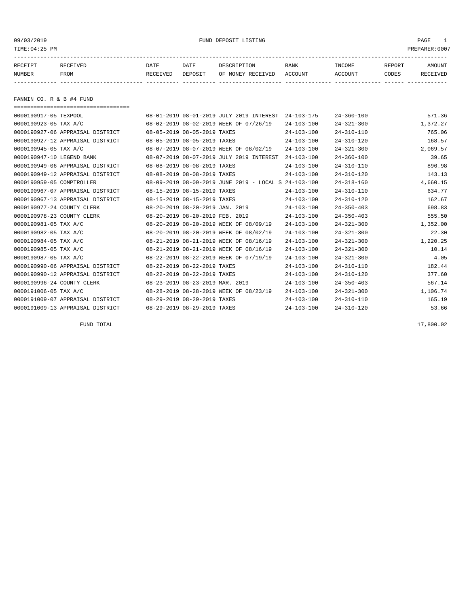## 09/03/2019 FUND DEPOSIT LISTING PAGE 1

| RECEIPT | <b>RECEIVED</b> | DATE     | DATE    | DESCRIPTION          | <b>BANK</b>    | INCOME  | <b>REPORT</b> | AMOUNT          |
|---------|-----------------|----------|---------|----------------------|----------------|---------|---------------|-----------------|
| NUMBER  | FROM            | RECEIVED | DEPOSIT | RECEIVED<br>OF MONEY | <b>ACCOUNT</b> | ACCOUNT | CODES         | <b>RECEIVED</b> |
|         |                 |          |         |                      |                |         |               |                 |

FANNIN CO. R & B #4 FUND

===================================

| 0000190917-05 TEXPOOL      |                                  |                                 | 08-01-2019 08-01-2019 JULY 2019 INTEREST             | $24 - 103 - 175$ | $24 - 360 - 100$ | 571.36   |
|----------------------------|----------------------------------|---------------------------------|------------------------------------------------------|------------------|------------------|----------|
| 0000190923-05 TAX A/C      |                                  |                                 | 08-02-2019 08-02-2019 WEEK OF 07/26/19               | $24 - 103 - 100$ | $24 - 321 - 300$ | 1,372.27 |
|                            | 0000190927-06 APPRAISAL DISTRICT | 08-05-2019 08-05-2019 TAXES     |                                                      | $24 - 103 - 100$ | $24 - 310 - 110$ | 765.06   |
|                            | 0000190927-12 APPRAISAL DISTRICT | 08-05-2019 08-05-2019 TAXES     |                                                      | $24 - 103 - 100$ | $24 - 310 - 120$ | 168.57   |
| 0000190945-05 TAX A/C      |                                  |                                 | 08-07-2019 08-07-2019 WEEK OF 08/02/19               | $24 - 103 - 100$ | $24 - 321 - 300$ | 2,069.57 |
| 0000190947-10 LEGEND BANK  |                                  |                                 | 08-07-2019 08-07-2019 JULY 2019 INTEREST             | $24 - 103 - 100$ | $24 - 360 - 100$ | 39.65    |
|                            | 0000190949-06 APPRAISAL DISTRICT | 08-08-2019 08-08-2019 TAXES     |                                                      | $24 - 103 - 100$ | $24 - 310 - 110$ | 896.98   |
|                            | 0000190949-12 APPRAISAL DISTRICT | 08-08-2019 08-08-2019 TAXES     |                                                      | $24 - 103 - 100$ | $24 - 310 - 120$ | 143.13   |
| 0000190959-05 COMPTROLLER  |                                  |                                 | 08-09-2019 08-09-2019 JUNE 2019 - LOCAL S 24-103-100 |                  | $24 - 318 - 160$ | 4,660.15 |
|                            | 0000190967-07 APPRAISAL DISTRICT | 08-15-2019 08-15-2019 TAXES     |                                                      | $24 - 103 - 100$ | $24 - 310 - 110$ | 634.77   |
|                            | 0000190967-13 APPRAISAL DISTRICT | 08-15-2019 08-15-2019 TAXES     |                                                      | $24 - 103 - 100$ | $24 - 310 - 120$ | 162.67   |
| 0000190977-24 COUNTY CLERK |                                  | 08-20-2019 08-20-2019 JAN. 2019 |                                                      | $24 - 103 - 100$ | $24 - 350 - 403$ | 698.83   |
| 0000190978-23 COUNTY CLERK |                                  | 08-20-2019 08-20-2019 FEB. 2019 |                                                      | $24 - 103 - 100$ | $24 - 350 - 403$ | 555.50   |
| 0000190981-05 TAX A/C      |                                  |                                 | 08-20-2019 08-20-2019 WEEK OF 08/09/19               | $24 - 103 - 100$ | $24 - 321 - 300$ | 1,352.00 |
| 0000190982-05 TAX A/C      |                                  |                                 | 08-20-2019 08-20-2019 WEEK OF 08/02/19               | $24 - 103 - 100$ | $24 - 321 - 300$ | 22.30    |
| 0000190984-05 TAX A/C      |                                  |                                 | 08-21-2019 08-21-2019 WEEK OF 08/16/19               | $24 - 103 - 100$ | $24 - 321 - 300$ | 1,220.25 |
| 0000190985-05 TAX A/C      |                                  |                                 | 08-21-2019 08-21-2019 WEEK OF 08/16/19               | $24 - 103 - 100$ | $24 - 321 - 300$ | 10.14    |
| 0000190987-05 TAX A/C      |                                  |                                 | 08-22-2019 08-22-2019 WEEK OF 07/19/19               | $24 - 103 - 100$ | $24 - 321 - 300$ | 4.05     |
|                            | 0000190990-06 APPRAISAL DISTRICT | 08-22-2019 08-22-2019 TAXES     |                                                      | $24 - 103 - 100$ | $24 - 310 - 110$ | 182.44   |
|                            | 0000190990-12 APPRAISAL DISTRICT | 08-22-2019 08-22-2019 TAXES     |                                                      | $24 - 103 - 100$ | $24 - 310 - 120$ | 377.60   |
| 0000190996-24 COUNTY CLERK |                                  | 08-23-2019 08-23-2019 MAR. 2019 |                                                      | $24 - 103 - 100$ | $24 - 350 - 403$ | 567.14   |
| 0000191006-05 TAX A/C      |                                  |                                 | 08-28-2019 08-28-2019 WEEK OF 08/23/19               | $24 - 103 - 100$ | $24 - 321 - 300$ | 1,106.74 |
|                            | 0000191009-07 APPRAISAL DISTRICT | 08-29-2019 08-29-2019 TAXES     |                                                      | $24 - 103 - 100$ | $24 - 310 - 110$ | 165.19   |
|                            | 0000191009-13 APPRAISAL DISTRICT | 08-29-2019 08-29-2019 TAXES     |                                                      | $24 - 103 - 100$ | $24 - 310 - 120$ | 53.66    |
|                            |                                  |                                 |                                                      |                  |                  |          |

FUND TOTAL  $17,800.02$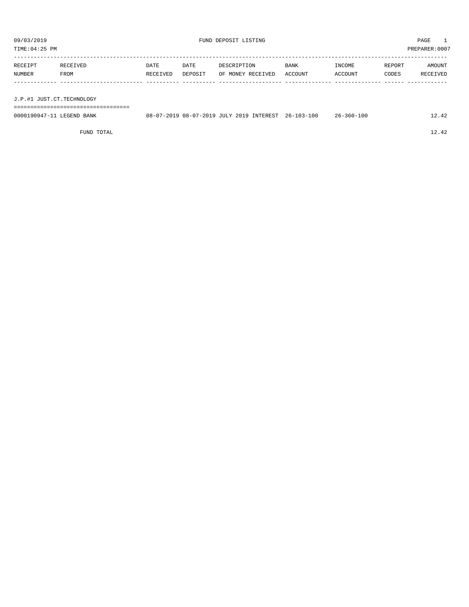TIME:04:25 PM PREPARER:0007

| RECEIPT | RECEIVED | DATE     | DATE    | DESCRIPTION       | <b>BANK</b> | INCOME  | REPORT | AMOUNT   |
|---------|----------|----------|---------|-------------------|-------------|---------|--------|----------|
| NUMBER  | FROM     | RECEIVED | DEPOSIT | OF MONEY RECEIVED | ACCOUNT     | ACCOUNT | CODES  | RECEIVED |
|         |          |          |         |                   |             |         |        |          |

J.P.#1 JUST.CT.TECHNOLOGY

===================================

| 0000190947-11 LEGEND BANK | 08-07-2019 08-07-2019 JULY 2019 INTEREST 26-103-100 |  | 26-360-100 |  |
|---------------------------|-----------------------------------------------------|--|------------|--|
|                           |                                                     |  |            |  |

FUND TOTAL 12.42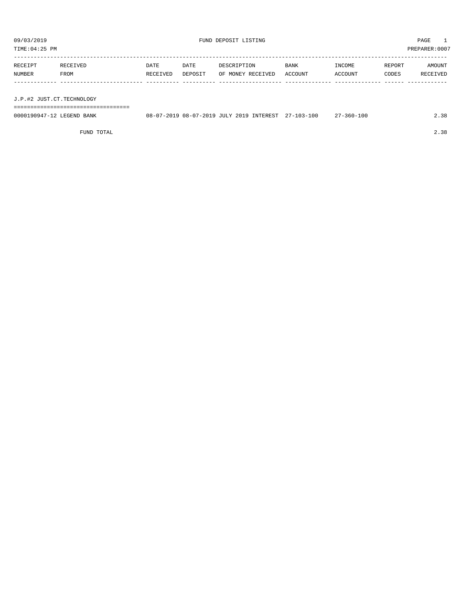TIME:04:25 PM PREPARER:0007

| RECEIPT | RECEIVED | DATE     | DATE    | DESCRIPTION       | <b>BANK</b> | INCOME  | REPORT | AMOUNT   |
|---------|----------|----------|---------|-------------------|-------------|---------|--------|----------|
| NUMBER  | FROM     | RECEIVED | DEPOSIT | OF MONEY RECEIVED | ACCOUNT     | ACCOUNT | CODES  | RECEIVED |
|         |          |          |         |                   |             |         |        |          |
|         |          |          |         |                   |             |         |        |          |

J.P.#2 JUST.CT.TECHNOLOGY

===================================

| 0000190947-12 LEGEND BANK |  |  | 08-07-2019 08-07-2019 JULY 2019 INTEREST 27-103-100 | $27 - 360 - 100$ | 2.38 |
|---------------------------|--|--|-----------------------------------------------------|------------------|------|
|                           |  |  |                                                     |                  |      |

FUND TOTAL 2.38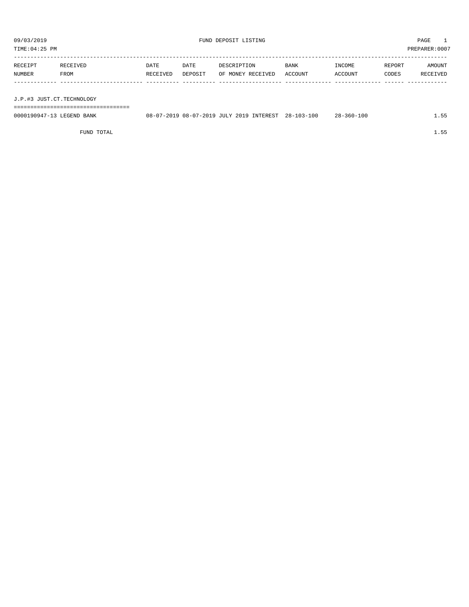TIME:04:25 PM PREPARER:0007

| RECEIPT | RECEIVED    | DATE     | DATE    | DESCRIPTION       | <b>BANK</b> | INCOME  | REPORT | AMOUNT   |
|---------|-------------|----------|---------|-------------------|-------------|---------|--------|----------|
| NUMBER  | <b>FROM</b> | RECEIVED | DEPOSIT | OF MONEY RECEIVED | ACCOUNT     | ACCOUNT | CODES  | RECEIVED |
|         |             |          |         |                   |             |         |        |          |
|         |             |          |         |                   |             |         |        |          |

J.P.#3 JUST.CT.TECHNOLOGY

===================================

| 0000190947-13 LEGEND BANK | 08-07-2019 08-07-2019 JULY 2019 INTEREST 28-103-100 |  |  | $28 - 360 - 100$ | 1.55 |
|---------------------------|-----------------------------------------------------|--|--|------------------|------|
|                           |                                                     |  |  |                  |      |

FUND TOTAL  $1.55$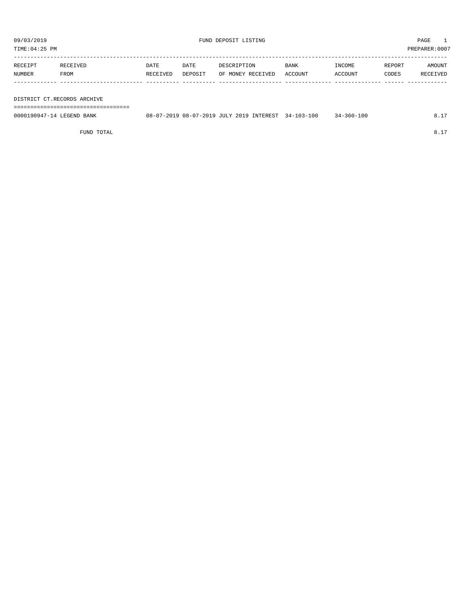TIME:04:25 PM PREPARER:0007

| RECEIPT | RECEIVED | <b>DATE</b> | DATE    | DESCRIPTION       | <b>BANK</b> | INCOME         | REPORT | AMOUNT   |
|---------|----------|-------------|---------|-------------------|-------------|----------------|--------|----------|
| NUMBER  | FROM     | RECEIVED    | DEPOSIT | OF MONEY RECEIVED | ACCOUNT     | <b>ACCOUNT</b> | CODES  | RECEIVED |
|         |          |             |         |                   |             |                |        |          |

## DISTRICT CT.RECORDS ARCHIVE

===================================

| 0000190947-14 LEGEND BANK | 08-07-2019 08-07-2019 JULY 2019 INTEREST |  | $34 - 103 - 100$ | $-360 - 100$<br>- 44 |  |
|---------------------------|------------------------------------------|--|------------------|----------------------|--|
|                           |                                          |  |                  |                      |  |

FUND TOTAL 8.17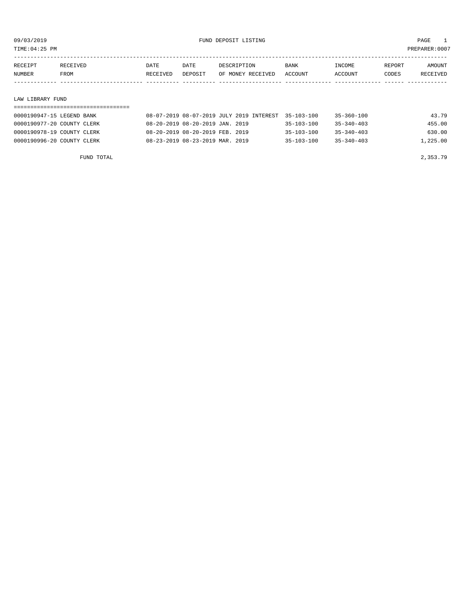TIME:04:25 PM PREPARER:0007

| RECEIPT | <b>RECEIVED</b> | DATE     | DATE    | DESCRIPTION       | <b>BANK</b> | INCOME  | REPORT | AMOUNT          |
|---------|-----------------|----------|---------|-------------------|-------------|---------|--------|-----------------|
| NUMBER  | FROM            | RECEIVED | DEPOSIT | OF MONEY RECEIVED | ACCOUNT     | ACCOUNT | CODES  | <b>RECEIVED</b> |
|         |                 |          |         |                   |             |         |        |                 |

## LAW LIBRARY FUND

| ------------------------------------- | --------------------------------- |  |
|---------------------------------------|-----------------------------------|--|
| п.                                    |                                   |  |

| 0000190947-15 LEGEND BANK  | 08-07-2019 08-07-2019 JULY 2019 INTEREST 35-103-100 |                  | 35-360-100       | 43.79    |
|----------------------------|-----------------------------------------------------|------------------|------------------|----------|
| 0000190977-20 COUNTY CLERK | 08-20-2019 08-20-2019 JAN. 2019                     | $35 - 103 - 100$ | $35 - 340 - 403$ | 455.00   |
| 0000190978-19 COUNTY CLERK | 08-20-2019 08-20-2019 FEB. 2019                     | $35 - 103 - 100$ | $35 - 340 - 403$ | 630.00   |
| 0000190996-20 COUNTY CLERK | 08-23-2019 08-23-2019 MAR. 2019                     | $35 - 103 - 100$ | $35 - 340 - 403$ | 1,225.00 |

FUND TOTAL 2,353.79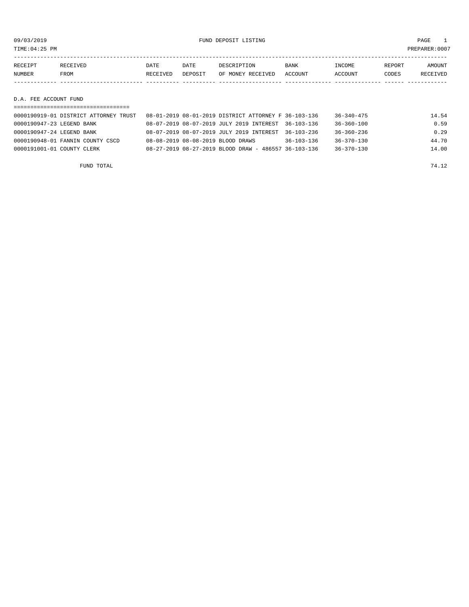09/03/2019 FUND DEPOSIT LISTING PAGE 1

| RECEIPT       | <b>RECEIVED</b> | DATE            | DATE    | DESCRIPTION       | <b>BANK</b> | INCOME         | REPORT | AMOUNT          |
|---------------|-----------------|-----------------|---------|-------------------|-------------|----------------|--------|-----------------|
| <b>NUMBER</b> | <b>FROM</b>     | <b>RECEIVED</b> | DEPOSIT | OF MONEY RECEIVED | ACCOUNT     | <b>ACCOUNT</b> | CODES  | <b>RECEIVED</b> |
|               |                 |                 |         |                   |             |                |        |                 |

D.A. FEE ACCOUNT FUND

| 0000190919-01 DISTRICT ATTORNEY TRUST | 08-01-2019 08-01-2019 DISTRICT ATTORNEY F 36-103-136 |                  | 36-340-475       | 14.54 |
|---------------------------------------|------------------------------------------------------|------------------|------------------|-------|
| 0000190947-23 LEGEND BANK             | 08-07-2019 08-07-2019 JULY 2019 INTEREST 36-103-136  |                  | $36 - 360 - 100$ | 0.59  |
| 0000190947-24 LEGEND BANK             | 08-07-2019 08-07-2019 JULY 2019 INTEREST             | $36 - 103 - 236$ | $36 - 360 - 236$ | 0.29  |
| 0000190948-01 FANNIN COUNTY CSCD      | 08-08-2019 08-08-2019 BLOOD DRAWS                    | $36 - 103 - 136$ | $36 - 370 - 130$ | 44.70 |
| 0000191001-01 COUNTY CLERK            | 08-27-2019 08-27-2019 BLOOD DRAW - 486557 36-103-136 |                  | $36 - 370 - 130$ | 14.00 |
|                                       |                                                      |                  |                  |       |

FUND TOTAL 74.12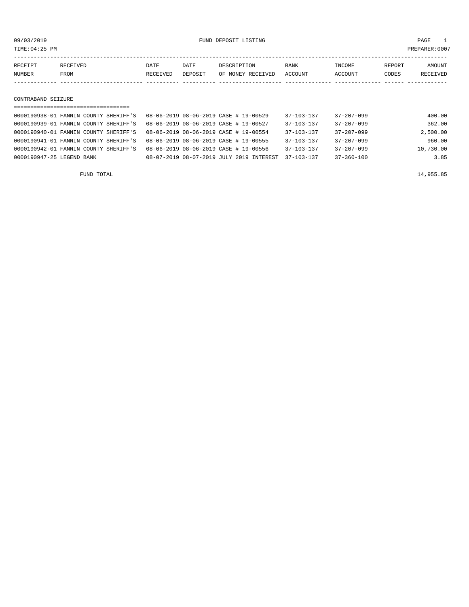09/03/2019 FUND DEPOSIT LISTING PAGE 1

| RECEIPT | RECEIVED | DATE     | DATE           | DESCRIPTION       | <b>BANK</b> | INCOME  | REPORT | AMOUNT   |
|---------|----------|----------|----------------|-------------------|-------------|---------|--------|----------|
| NUMBER  | FROM     | RECEIVED | <b>DEPOSIT</b> | OF MONEY RECEIVED | ACCOUNT     | ACCOUNT | CODES  | RECEIVED |
|         |          |          |                |                   |             |         |        |          |

CONTRABAND SEIZURE

| ====================================  |  |                                       |  |                                          |                  |                  |           |
|---------------------------------------|--|---------------------------------------|--|------------------------------------------|------------------|------------------|-----------|
| 0000190938-01 FANNIN COUNTY SHERIFF'S |  | 08-06-2019 08-06-2019 CASE # 19-00529 |  |                                          | $37 - 103 - 137$ | $37 - 207 - 099$ | 400.00    |
| 0000190939-01 FANNIN COUNTY SHERIFF'S |  | 08-06-2019 08-06-2019 CASE # 19-00527 |  |                                          | $37 - 103 - 137$ | $37 - 207 - 099$ | 362.00    |
| 0000190940-01 FANNIN COUNTY SHERIFF'S |  | 08-06-2019 08-06-2019 CASE # 19-00554 |  |                                          | $37 - 103 - 137$ | $37 - 207 - 099$ | 2,500.00  |
| 0000190941-01 FANNIN COUNTY SHERIFF'S |  | 08-06-2019 08-06-2019 CASE # 19-00555 |  |                                          | $37 - 103 - 137$ | $37 - 207 - 099$ | 960.00    |
| 0000190942-01 FANNIN COUNTY SHERIFF'S |  | 08-06-2019 08-06-2019 CASE # 19-00556 |  |                                          | $37 - 103 - 137$ | $37 - 207 - 099$ | 10,730.00 |
| 0000190947-25 LEGEND BANK             |  |                                       |  | 08-07-2019 08-07-2019 JULY 2019 INTEREST | $37 - 103 - 137$ | 37-360-100       | 3.85      |
|                                       |  |                                       |  |                                          |                  |                  |           |

FUND TOTAL 14,955.85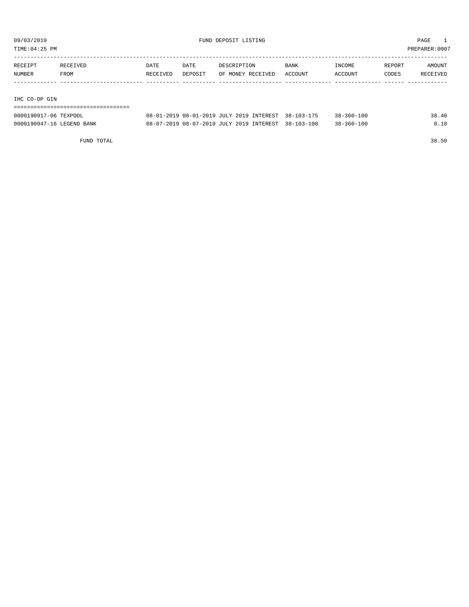TIME:04:25 PM PREPARER:0007

| RECEIPT | RECEIVED | <b>DATE</b> | DATE    | DESCRIPTION       | BANK    | INCOME         | REPORT | AMOUNT   |
|---------|----------|-------------|---------|-------------------|---------|----------------|--------|----------|
| NUMBER  | FROM     | RECEIVED    | DEPOSIT | OF MONEY RECEIVED | ACCOUNT | <b>ACCOUNT</b> | CODES  | RECEIVED |
|         |          |             |         |                   |         |                |        |          |
|         |          |             |         |                   |         |                |        |          |

IHC CO-OP GIN

| 0000190917-06 TEXPOOL     | 08-01-2019 08-01-2019 JULY 2019 INTEREST 38-103-175 | $38 - 360 - 100$ | 38.40 |
|---------------------------|-----------------------------------------------------|------------------|-------|
| 0000190947-16 LEGEND BANK | 08-07-2019 08-07-2019 JULY 2019 INTEREST 38-103-100 | $38 - 360 - 100$ | 0.10  |

FUND TOTAL 38.50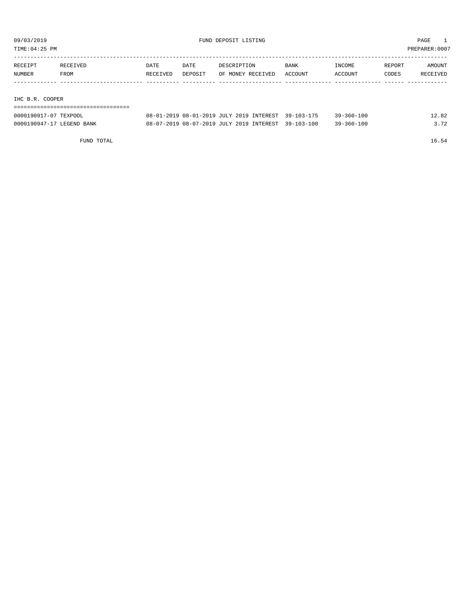TIME:04:25 PM PREPARER:0007

| RECEIPT | RECEIVED | DATE     | DATE    | DESCRIPTION       | <b>BANK</b> | INCOME  | REPORT | AMOUNT   |
|---------|----------|----------|---------|-------------------|-------------|---------|--------|----------|
| NUMBER  | FROM     | RECEIVED | DEPOSIT | OF MONEY RECEIVED | ACCOUNT     | ACCOUNT | CODES  | RECEIVED |
|         |          |          |         |                   |             |         |        |          |
|         |          |          |         |                   |             |         |        |          |

IHC B.R. COOPER

| -------------------------------------<br>-------------------------------------- |  |  |  |  |  |  |  |  |  |  |  |  |  |  |  |  |  |
|---------------------------------------------------------------------------------|--|--|--|--|--|--|--|--|--|--|--|--|--|--|--|--|--|
|                                                                                 |  |  |  |  |  |  |  |  |  |  |  |  |  |  |  |  |  |
|                                                                                 |  |  |  |  |  |  |  |  |  |  |  |  |  |  |  |  |  |
|                                                                                 |  |  |  |  |  |  |  |  |  |  |  |  |  |  |  |  |  |

| 0000190917-07 TEXPOOL     | 08-01-2019 08-01-2019 JULY 2019 INTEREST 39-103-175 | $39 - 360 - 100$ | 12.82 |
|---------------------------|-----------------------------------------------------|------------------|-------|
| 0000190947-17 LEGEND BANK | 08-07-2019 08-07-2019 JULY 2019 INTEREST 39-103-100 | $39 - 360 - 100$ | 3.72  |

FUND TOTAL 16.54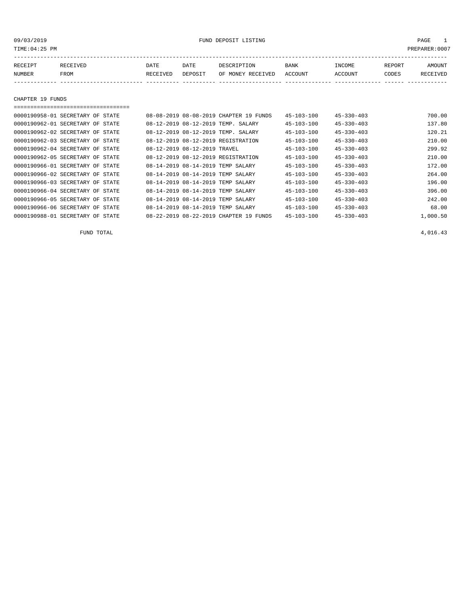### 09/03/2019 FUND DEPOSIT LISTING PAGE 1

| RECEIPT       | ∩ਸ਼ TVਸ਼ਾ<br>ז הם כד | DATE            | DATE    | DE SCR I PTION       | <b>BANK</b> | <b>INCOME</b> | <b>REPORT</b> | AMOUNT   |
|---------------|----------------------|-----------------|---------|----------------------|-------------|---------------|---------------|----------|
| <b>NUMBER</b> | FROM                 | <b>RECEIVED</b> | DEPOSIT | RECEIVED<br>OF MONEY | ACCOUNT     | ACCOUNT       | CODES         | RECEIVED |
|               |                      |                 |         |                      |             |               |               |          |

CHAPTER 19 FUNDS

=================================== 0000190958-01 SECRETARY OF STATE 08-08-2019 08-08-2019 CHAPTER 19 FUNDS 45-103-100 45-330-403 700.00 0000190962-01 SECRETARY OF STATE 08-12-2019 08-12-2019 TEMP. SALARY 45-103-100 45-330-403 137.80 0000190962-02 SECRETARY OF STATE 08-12-2019 08-12-2019 TEMP. SALARY 45-103-100 45-330-403 120.21 0000190962-03 SECRETARY OF STATE 08-12-2019 08-12-2019 REGISTRATION 45-103-100 45-330-403 210.00 0000190962-04 SECRETARY OF STATE 08-12-2019 08-12-2019 TRAVEL 45-103-100 45-330-403 299.92 0000190962-05 SECRETARY OF STATE 08-12-2019 08-12-2019 REGISTRATION 45-103-100 45-330-403 210.00 0000190966-01 SECRETARY OF STATE 08-14-2019 08-14-2019 TEMP SALARY 45-103-100 45-330-403 172.00 0000190966-02 SECRETARY OF STATE  $08-14-2019$  08-14-2019 TEMP SALARY  $45-103-100$   $45-330-403$   $45-330-403$   $264.00$ <br>0000190966-03 SECRETARY OF STATE  $08-14-2019$  08-14-2019 TEMP SALARY  $45-103-100$   $45-330-403$   $45-330-40$ 008-14-2019 00-14-2019 TEMP SALARY  $45-103-100$   $45-330-403$  196.00 0000190966-04 SECRETARY OF STATE 08-14-2019 08-14-2019 TEMP SALARY 45-103-100 45-330-403 396.00 0000190966-05 SECRETARY OF STATE 08-14-2019 08-14-2019 TEMP SALARY 45-103-100 45-330-403 242.00 0000190966-06 SECRETARY OF STATE 08-14-2019 08-14-2019 TEMP SALARY 45-103-100 45-330-403 68.00 0000190988-01 SECRETARY OF STATE 08-22-2019 08-22-2019 CHAPTER 19 FUNDS 45-103-100 45-330-403 1,000.50

FUND TOTAL  $4,016.43$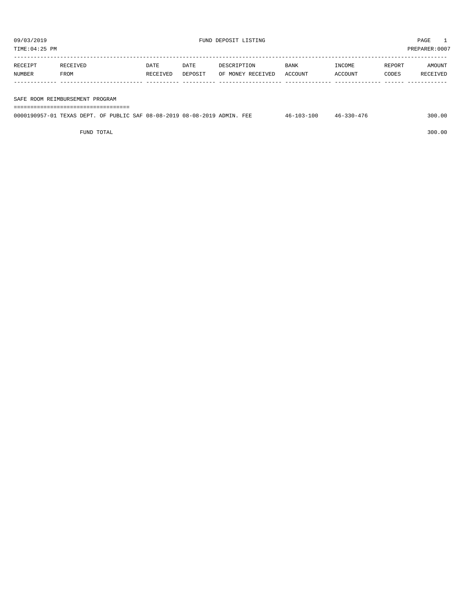TIME:04:25 PM PREPARER:0007 ----------------------------------------------------------------------------------------------------------------------------------- RECEIPT RECEIVED DATE DATE DESCRIPTION BANK INCOME REPORT AMOUNT NUMBER FROM RECEIVED DEPOSIT OF MONEY RECEIVED ACCOUNT ACCOUNT CODES RECEIVED ------------- ------------------------- ---------- ---------- ------------------- -------------- -------------- ------ ------------

## SAFE ROOM REIMBURSEMENT PROGRAM

| ------------------------------------<br>------------------------------------- |  |  |  |  |                  |                  |        |  |
|-------------------------------------------------------------------------------|--|--|--|--|------------------|------------------|--------|--|
| 0000190957-01 TEXAS DEPT. OF PUBLIC SAF 08-08-2019 08-08-2019 ADMIN. FEE      |  |  |  |  | $46 - 103 - 100$ | $46 - 330 - 476$ | 300.00 |  |

FUND TOTAL 300.00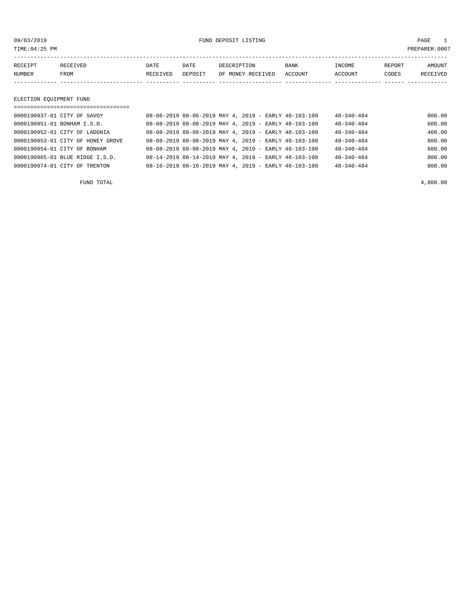09/03/2019 FUND DEPOSIT LISTING PAGE 1

| RECEIPT | <b>RECEIVED</b> | DATE     | DATE    | DESCRIPTION          | <b>BANK</b>    | INCOME  | <b>REPORT</b> | AMOUNT          |
|---------|-----------------|----------|---------|----------------------|----------------|---------|---------------|-----------------|
| NUMBER  | FROM            | RECEIVED | DEPOSIT | RECEIVED<br>OF MONEY | <b>ACCOUNT</b> | ACCOUNT | CODES         | <b>RECEIVED</b> |
|         |                 |          |         |                      |                |         |               |                 |

## ELECTION EQUIPMENT FUND

| 08-06-2019 08-06-2019 MAY 4, 2019 - EARLY 48-103-100<br>800.00<br>$48 - 340 - 484$<br>$08-08-2019$ $08-08-2019$ MAY 4, 2019 - EARLY 48-103-100<br>$48 - 340 - 484$<br>600.00<br>08-08-2019 08-08-2019 MAY 4, 2019 - EARLY 48-103-100 | ==================================== |  |                  |        |
|--------------------------------------------------------------------------------------------------------------------------------------------------------------------------------------------------------------------------------------|--------------------------------------|--|------------------|--------|
| 0000190951-01 BONHAM I.S.D.                                                                                                                                                                                                          | 0000190937-01 CITY OF SAVOY          |  |                  |        |
|                                                                                                                                                                                                                                      |                                      |  |                  |        |
|                                                                                                                                                                                                                                      | 0000190952-01 CITY OF LADONIA        |  | $48 - 340 - 484$ | 400.00 |
| 800.00<br>08-08-2019 08-08-2019 MAY 4, 2019 - EARLY 48-103-100<br>$48 - 340 - 484$<br>0000190953-01 CITY OF HONEY GROVE                                                                                                              |                                      |  |                  |        |
| 600.00<br>08-08-2019 08-08-2019 MAY 4, 2019 - EARLY 48-103-100<br>$48 - 340 - 484$<br>0000190954-01 CITY OF BONHAM                                                                                                                   |                                      |  |                  |        |
| 800.00<br>$08-14-2019$ $08-14-2019$ MAY 4, 2019 - EARLY 48-103-100<br>0000190965-01 BLUE RIDGE I.S.D.<br>$48 - 340 - 484$                                                                                                            |                                      |  |                  |        |
| $08-16-2019$ $08-16-2019$ MAY 4, 2019 - EARLY 48-103-100<br>$48 - 340 - 484$<br>800.00<br>0000190974-01 CITY OF TRENTON                                                                                                              |                                      |  |                  |        |

FUND TOTAL  $4,800.00$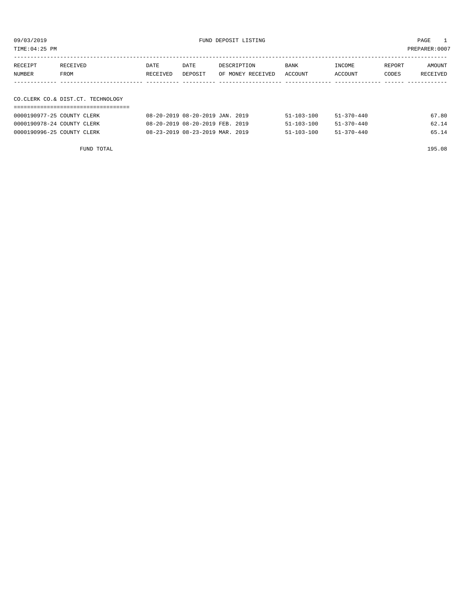| TIME:04:25 PM |                                      |          |         |                   |         |         |        | PREPARER:0007 |
|---------------|--------------------------------------|----------|---------|-------------------|---------|---------|--------|---------------|
|               |                                      |          |         |                   |         |         |        |               |
| RECEIPT       | RECEIVED                             | DATE     | DATE    | DESCRIPTION       | BANK    | INCOME  | REPORT | AMOUNT        |
| NUMBER        | FROM                                 | RECEIVED | DEPOSIT | OF MONEY RECEIVED | ACCOUNT | ACCOUNT | CODES  | RECEIVED      |
|               |                                      |          |         |                   |         |         |        |               |
|               |                                      |          |         |                   |         |         |        |               |
|               | CO. CLERK CO. & DIST. CT. TECHNOLOGY |          |         |                   |         |         |        |               |
|               |                                      |          |         |                   |         |         |        |               |

| 0000190977-25 COUNTY CLERK | 08-20-2019 08-20-2019 JAN. 2019 | $51 - 103 - 100$ | $51 - 370 - 440$ | 67.80 |
|----------------------------|---------------------------------|------------------|------------------|-------|
| 0000190978-24 COUNTY CLERK | 08-20-2019 08-20-2019 FEB. 2019 | $51 - 103 - 100$ | $51 - 370 - 440$ | 62.14 |
| 0000190996-25 COUNTY CLERK | 08-23-2019 08-23-2019 MAR. 2019 | $51 - 103 - 100$ | 51-370-440       | 65.14 |

FUND TOTAL 195.08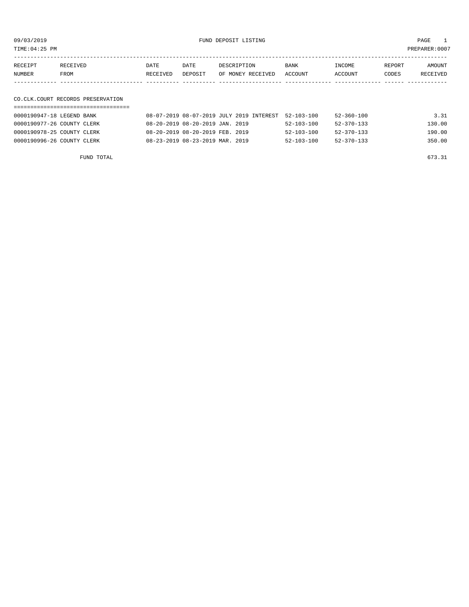09/03/2019 FUND DEPOSIT LISTING PAGE 1

| RECEIPT | <b>RECEIVED</b> | DATE     | DATE    | DESCRIPTION               | <b>BANK</b> | INCOME  | REPORT | AMOUNT   |
|---------|-----------------|----------|---------|---------------------------|-------------|---------|--------|----------|
| NUMBER  | FROM            | RECEIVED | DEPOSIT | OF MONEY RECEIVED ACCOUNT |             | ACCOUNT | CODES  | RECEIVED |
|         |                 |          |         |                           |             |         |        |          |

## CO.CLK.COURT RECORDS PRESERVATION

| 0000190947-18 LEGEND BANK  | 08-07-2019 08-07-2019 JULY 2019 INTEREST | 52-103-100       | 52-360-100       | 3.31   |
|----------------------------|------------------------------------------|------------------|------------------|--------|
| 0000190977-26 COUNTY CLERK | 08-20-2019 08-20-2019 JAN. 2019          | $52 - 103 - 100$ | $52 - 370 - 133$ | 130.00 |
| 0000190978-25 COUNTY CLERK | 08-20-2019 08-20-2019 FEB. 2019          | $52 - 103 - 100$ | $52 - 370 - 133$ | 190.00 |
| 0000190996-26 COUNTY CLERK | 08-23-2019 08-23-2019 MAR. 2019          | $52 - 103 - 100$ | 52-370-133       | 350.00 |

FUND TOTAL 673.31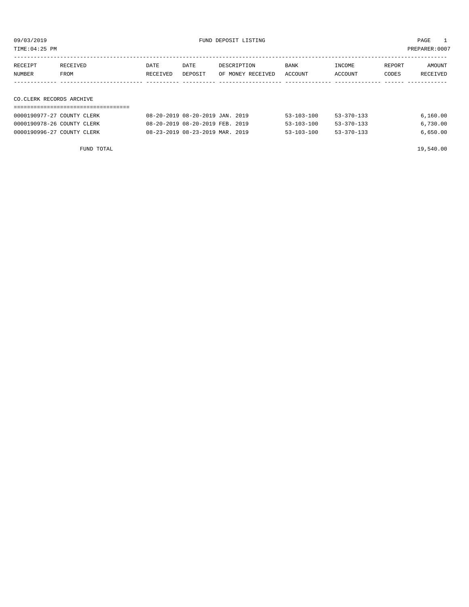09/03/2019 FUND DEPOSIT LISTING PAGE 1

| RECEIPT | RECEIVED                 | DATE     | DATE    | DESCRIPTION       | <b>BANK</b> | INCOME  | REPORT | AMOUNT   |  |  |
|---------|--------------------------|----------|---------|-------------------|-------------|---------|--------|----------|--|--|
| NUMBER  | FROM                     | RECEIVED | DEPOSIT | OF MONEY RECEIVED | ACCOUNT     | ACCOUNT | CODES  | RECEIVED |  |  |
|         |                          |          |         |                   |             |         |        |          |  |  |
|         |                          |          |         |                   |             |         |        |          |  |  |
|         | CO.CLERK RECORDS ARCHIVE |          |         |                   |             |         |        |          |  |  |
|         |                          |          |         |                   |             |         |        |          |  |  |

| 0000190977-27 COUNTY CLERK | 08-20-2019 08-20-2019 JAN. 2019 | $53 - 103 - 100$ | $53 - 370 - 133$ | 6,160.00 |
|----------------------------|---------------------------------|------------------|------------------|----------|
| 0000190978-26 COUNTY CLERK | 08-20-2019 08-20-2019 FEB. 2019 | $53 - 103 - 100$ | $53 - 370 - 133$ | 6,730.00 |
| 0000190996-27 COUNTY CLERK | 08-23-2019 08-23-2019 MAR. 2019 | $53 - 103 - 100$ | $53 - 370 - 133$ | 6.650.00 |

FUND TOTAL 19,540.00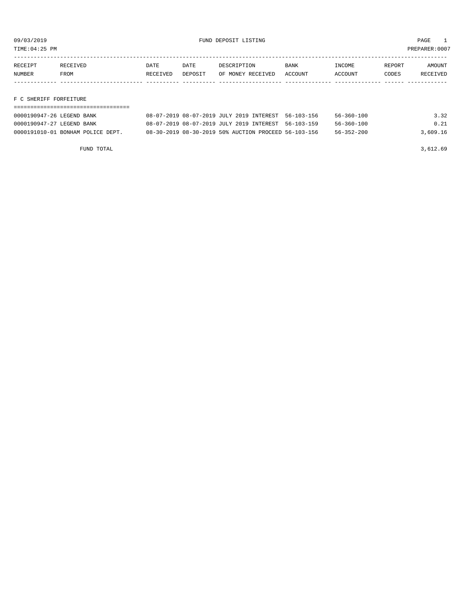TIME:04:25 PM PREPARER:0007

| RECEIPT | <b>RECEIVED</b> | DATE     | DATE    | DESCRIPTION       | <b>BANK</b> | <b>TNCOME</b> | REPORT | AMOUNT   |
|---------|-----------------|----------|---------|-------------------|-------------|---------------|--------|----------|
| NUMBER  | FROM            | RECEIVED | DEPOSIT | OF MONEY RECEIVED | ACCOUNT     | ACCOUNT       | CODES  | RECEIVED |
|         |                 |          |         |                   |             |               |        |          |
|         |                 |          |         |                   |             |               |        |          |

F C SHERIFF FORFEITURE

| 0000190947-26 LEGEND BANK         | 08-07-2019 08-07-2019 JULY 2019 INTEREST 56-103-156  | 56-360-100       | 3.32     |
|-----------------------------------|------------------------------------------------------|------------------|----------|
| 0000190947-27 LEGEND BANK         | 08-07-2019 08-07-2019 JULY 2019 INTEREST 56-103-159  | $56 - 360 - 100$ | 0.21     |
| 0000191010-01 BONHAM POLICE DEPT. | 08-30-2019 08-30-2019 50% AUCTION PROCEED 56-103-156 | $56 - 352 - 200$ | 3,609.16 |

FUND TOTAL  $3,612.69$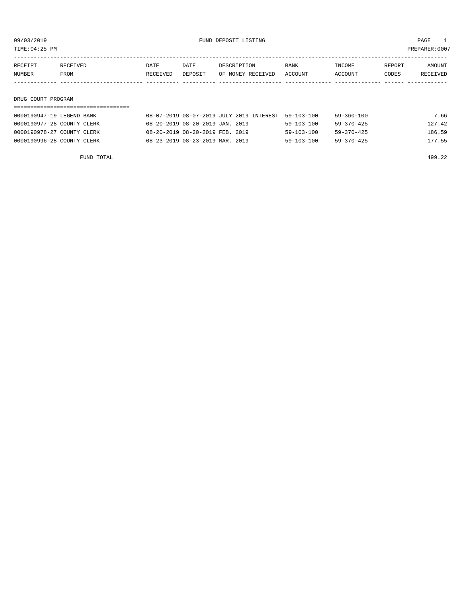TIME:04:25 PM PREPARER:0007

| RECEIPT | <b>RECEIVED</b> | DATE     | DATE    | DESCRIPTION       | <b>BANK</b> | INCOME  | REPORT | AMOUNT   |
|---------|-----------------|----------|---------|-------------------|-------------|---------|--------|----------|
| NUMBER  | FROM            | RECEIVED | DEPOSIT | OF MONEY RECEIVED | ACCOUNT     | ACCOUNT | CODES  | RECEIVED |
|         |                 |          |         |                   |             |         |        |          |

## DRUG COURT PROGRAM

| 0000190947-19 LEGEND BANK  | 08-07-2019 08-07-2019 JULY 2019 INTEREST | 59-103-100       | 59-360-100       | 7.66   |
|----------------------------|------------------------------------------|------------------|------------------|--------|
| 0000190977-28 COUNTY CLERK | 08-20-2019 08-20-2019 JAN. 2019          | $59 - 103 - 100$ | $59 - 370 - 425$ | 127.42 |
| 0000190978-27 COUNTY CLERK | 08-20-2019 08-20-2019 FEB. 2019          | $59 - 103 - 100$ | $59 - 370 - 425$ | 186.59 |
| 0000190996-28 COUNTY CLERK | 08-23-2019 08-23-2019 MAR. 2019          | $59 - 103 - 100$ | $59 - 370 - 425$ | 177.55 |

FUND TOTAL 499.22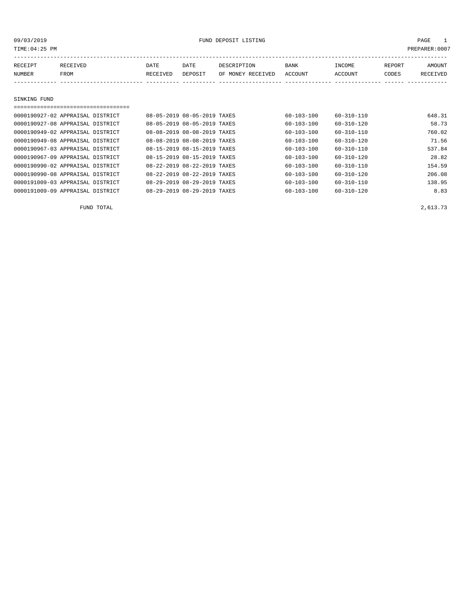| 09/03/2019<br>TIME: 04: 25 PM    |                  |                                   |                             |                             | FUND DEPOSIT LISTING             |                  |                   |                 | PAGE<br>$\mathbf{1}$<br>PREPARER:0007 |
|----------------------------------|------------------|-----------------------------------|-----------------------------|-----------------------------|----------------------------------|------------------|-------------------|-----------------|---------------------------------------|
| RECEIPT<br>NUMBER                | RECEIVED<br>FROM |                                   | DATE<br>RECEIVED            | DATE<br>DEPOSIT             | DESCRIPTION<br>OF MONEY RECEIVED | BANK             | INCOME<br>ACCOUNT | REPORT<br>CODES | AMOUNT<br>RECEIVED                    |
|                                  |                  |                                   |                             |                             |                                  | ACCOUNT          |                   |                 |                                       |
| SINKING FUND                     |                  |                                   |                             |                             |                                  |                  |                   |                 |                                       |
|                                  |                  | ================================= |                             |                             |                                  |                  |                   |                 |                                       |
| 0000190927-02 APPRAISAL DISTRICT |                  |                                   | 08-05-2019 08-05-2019 TAXES |                             |                                  | $60 - 103 - 100$ | 60-310-110        |                 | 648.31                                |
| 0000190927-08 APPRAISAL DISTRICT |                  |                                   |                             | 08-05-2019 08-05-2019 TAXES |                                  | 60-103-100       | 60-310-120        |                 | 58.73                                 |
| 0000190949-02 APPRAISAL DISTRICT |                  |                                   |                             | 08-08-2019 08-08-2019 TAXES |                                  | $60 - 103 - 100$ | $60 - 310 - 110$  |                 | 760.02                                |
| 0000190949-08 APPRAISAL DISTRICT |                  |                                   |                             | 08-08-2019 08-08-2019 TAXES |                                  | $60 - 103 - 100$ | $60 - 310 - 120$  |                 | 71.56                                 |
| 0000190967-03 APPRAISAL DISTRICT |                  |                                   |                             | 08-15-2019 08-15-2019 TAXES |                                  | 60-103-100       | 60-310-110        |                 | 537.84                                |
| 0000190967-09 APPRAISAL DISTRICT |                  |                                   |                             | 08-15-2019 08-15-2019 TAXES |                                  | $60 - 103 - 100$ | $60 - 310 - 120$  |                 | 28.82                                 |
| 0000190990-02 APPRAISAL DISTRICT |                  |                                   |                             | 08-22-2019 08-22-2019 TAXES |                                  | $60 - 103 - 100$ | $60 - 310 - 110$  |                 | 154.59                                |
| 0000190990-08 APPRAISAL DISTRICT |                  |                                   | 08-22-2019 08-22-2019 TAXES |                             |                                  | 60-103-100       | 60-310-120        |                 | 206.08                                |
| 0000191009-03 APPRAISAL DISTRICT |                  |                                   |                             | 08-29-2019 08-29-2019 TAXES |                                  | $60 - 103 - 100$ | $60 - 310 - 110$  |                 | 138.95                                |

0000191009-09 APPRAISAL DISTRICT 08-29-2019 08-29-2019 TAXES 60-103-100 60-310-120 8.83

FUND TOTAL 2,613.73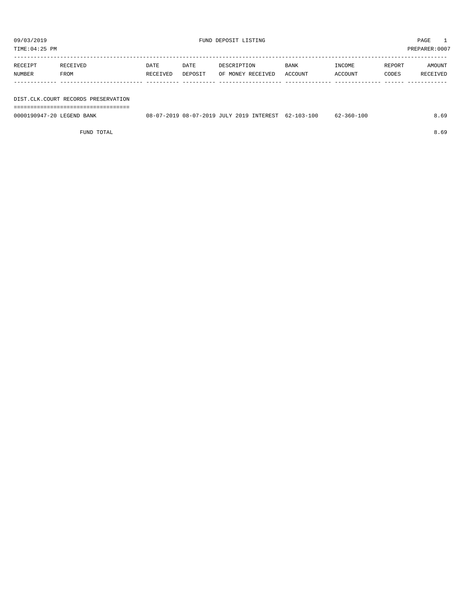| TIME:04:25 PM |                                     |          |         |                   |             |         |        | PREPARER:0007 |
|---------------|-------------------------------------|----------|---------|-------------------|-------------|---------|--------|---------------|
| RECEIPT       | RECEIVED                            | DATE     | DATE    | DESCRIPTION       | <b>BANK</b> | INCOME  | REPORT | AMOUNT        |
| NUMBER        | FROM                                | RECEIVED | DEPOSIT | OF MONEY RECEIVED | ACCOUNT     | ACCOUNT | CODES  | RECEIVED      |
|               |                                     |          |         |                   |             |         |        |               |
|               |                                     |          |         |                   |             |         |        |               |
|               | DIST.CLK.COURT RECORDS PRESERVATION |          |         |                   |             |         |        |               |

===================================

0000190947-20 LEGEND BANK 08-07-2019 08-07-2019 JULY 2019 INTEREST 62-103-100 62-360-100 8.69

FUND TOTAL 8.69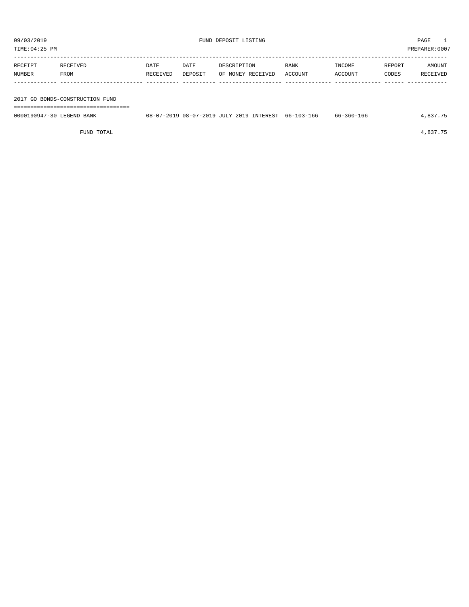TIME:04:25 PM PREPARER:0007

| RECEIPT | RECEIVED | DATE     | DATE    | DESCRIPTION       | BANK    | INCOME  | REPORT | AMOUNT   |
|---------|----------|----------|---------|-------------------|---------|---------|--------|----------|
| NUMBER  | FROM     | RECEIVED | DEPOSIT | OF MONEY RECEIVED | ACCOUNT | ACCOUNT | CODES  | RECEIVED |
|         |          |          |         |                   |         |         |        |          |
|         |          |          |         |                   |         |         |        |          |

2017 GO BONDS-CONSTRUCTION FUND

===================================

| 0000190947-30 LEGEND BANK | 08-07-2019 08-07-2019 JULY 2019 INTEREST 66-103-166 |  | 66-360-166 | 4,837.75 |
|---------------------------|-----------------------------------------------------|--|------------|----------|
|                           |                                                     |  |            |          |

FUND TOTAL 4,837.75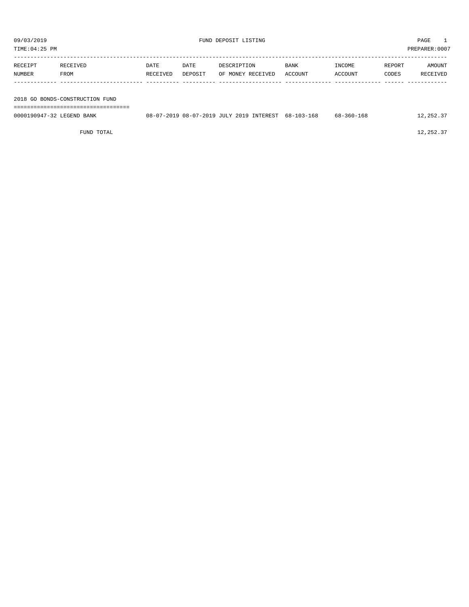TIME:04:25 PM PREPARER:0007

| RECEIPT | RECEIVED | <b>DATE</b> | DATE    | DESCRIPTION       | <b>BANK</b> | INCOME  | REPORT | AMOUNT   |
|---------|----------|-------------|---------|-------------------|-------------|---------|--------|----------|
| NUMBER  | FROM     | RECEIVED    | DEPOSIT | OF MONEY RECEIVED | ACCOUNT     | ACCOUNT | CODES  | RECEIVED |
|         |          |             |         |                   |             |         |        |          |
|         |          |             |         |                   |             |         |        |          |

2018 GO BONDS-CONSTRUCTION FUND

| --------------------------------- |                                                     |  |            |           |
|-----------------------------------|-----------------------------------------------------|--|------------|-----------|
| 0000190947-32 LEGEND BANK         | 08-07-2019 08-07-2019 JULY 2019 INTEREST 68-103-168 |  | 68-360-168 | 12,252.37 |
|                                   |                                                     |  |            |           |

FUND TOTAL  $12,252.37$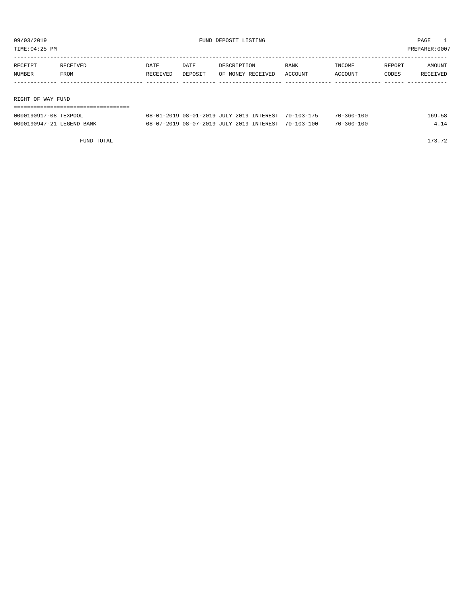| TIME:04:25 PM           |          |          |         |                                                        |         |                   |        | PREPARER:0007 |
|-------------------------|----------|----------|---------|--------------------------------------------------------|---------|-------------------|--------|---------------|
| RECEIPT                 | RECEIVED | DATE     | DATE    | DESCRIPTION                                            | BANK    | INCOME            | REPORT | AMOUNT        |
| NUMBER                  | FROM     | RECEIVED | DEPOSIT | OF MONEY RECEIVED                                      | ACCOUNT | ACCOUNT           | CODES  | RECEIVED      |
|                         |          |          |         |                                                        |         |                   |        |               |
| RIGHT OF WAY FUND       |          |          |         |                                                        |         |                   |        |               |
|                         |          |          |         |                                                        |         |                   |        |               |
| $0.00010001700$ musical |          |          |         | 00 01 0010 00 01 0010 TITTY 0010 TIMPRESSON 50 100 155 |         | <b>70 360 100</b> |        | 100T          |

| 0000190917-08 TEXPOOL     |  | 08-01-2019 08-01-2019 JULY 2019 INTEREST 70-103-175 | $70 - 360 - 100$ | 169.58 |
|---------------------------|--|-----------------------------------------------------|------------------|--------|
| 0000190947-21 LEGEND BANK |  | 08-07-2019 08-07-2019 JULY 2019 INTEREST 70-103-100 | $70 - 360 - 100$ | 414    |

FUND TOTAL 173.72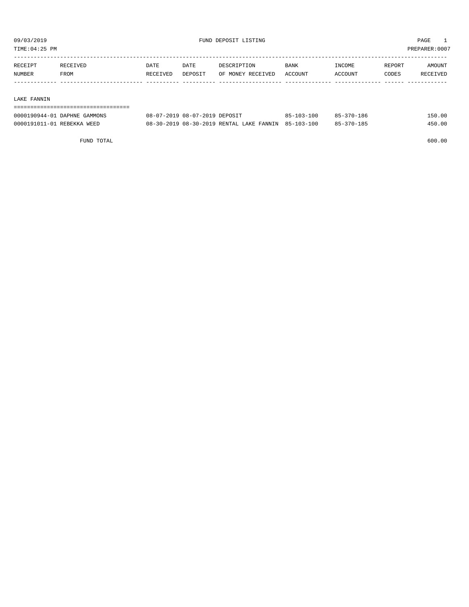TIME:04:25 PM PREPARER:0007

| RECEIPT | <b>RECEIVED</b> | DATE     | DATE    | DESCRIPTION       | <b>BANK</b>    | <b>INCOME</b> | REPORT | AMOUNT          |
|---------|-----------------|----------|---------|-------------------|----------------|---------------|--------|-----------------|
| NUMBER  | FROM            | RECEIVED | DEPOSIT | OF MONEY RECEIVED | <b>ACCOUNT</b> | ACCOUNT       | CODES  | <b>RECEIVED</b> |
|         |                 |          |         |                   |                |               |        |                 |

## LAKE FANNIN

## ===================================

| 0000190944-01 DAPHNE GAMMONS | 08-07-2019 08-07-2019 DEPOSIT                       | $85 - 103 - 100$ | 85-370-186 | 150.00 |
|------------------------------|-----------------------------------------------------|------------------|------------|--------|
| 0000191011-01 REBEKKA WEED   | 08-30-2019 08-30-2019 RENTAL LAKE FANNIN 85-103-100 |                  | 85-370-185 | 450.00 |

FUND TOTAL 600.00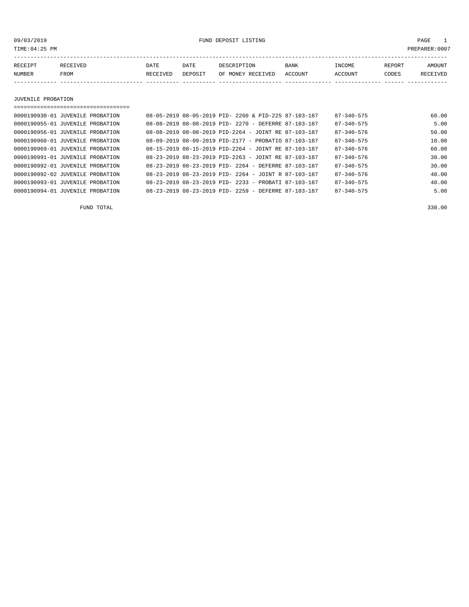09/03/2019 FUND DEPOSIT LISTING PAGE 1

| RECEIPT | RECEIVED | DATE     | DATE    | DESCRIPTION       | <b>BANK</b> | <b>INCOME</b> | <b>REPORT</b> | AMOUNT   |
|---------|----------|----------|---------|-------------------|-------------|---------------|---------------|----------|
| NUMBER  | FROM     | RECEIVED | DEPOSIT | OF MONEY RECEIVED | ACCOUNT     | ACCOUNT       | CODES         | RECEIVED |
|         |          |          |         |                   |             |               |               |          |

JUVENILE PROBATION

===================================

| 0000190930-01 JUVENILE PROBATION |  |  | 08-05-2019 08-05-2019 PID- 2260 & PID-225 87-103-187             | $87 - 340 - 575$ | 60.00 |
|----------------------------------|--|--|------------------------------------------------------------------|------------------|-------|
| 0000190955-01 JUVENILE PROBATION |  |  | 08-08-2019 08-08-2019 PID- 2270 - DEFERRE 87-103-187             | $87 - 340 - 575$ | 5.00  |
| 0000190956-01 JUVENILE PROBATION |  |  | $08-08-2019$ $08-08-2019$ PID-2264 - JOINT RE 87-103-187         | $87 - 340 - 576$ | 50.00 |
| 0000190960-01 JUVENILE PROBATION |  |  | 08-09-2019 08-09-2019 PID-2177 - PROBATIO 87-103-187             | $87 - 340 - 575$ | 10.00 |
| 0000190969-01 JUVENILE PROBATION |  |  | 08-15-2019 08-15-2019 PID-2264 - JOINT RE 87-103-187             | $87 - 340 - 576$ | 60.00 |
| 0000190991-01 JUVENILE PROBATION |  |  | $08 - 23 - 2019$ $08 - 23 - 2019$ PID-2263 - JOINT RE 87-103-187 | $87 - 340 - 576$ | 30.00 |
| 0000190992-01 JUVENILE PROBATION |  |  | 08-23-2019 08-23-2019 PID- 2264 - DEFERRE 87-103-187             | $87 - 340 - 575$ | 30.00 |
| 0000190992-02 JUVENILE PROBATION |  |  | $08-23-2019$ $08-23-2019$ PID- 2264 - JOINT R 87-103-187         | $87 - 340 - 576$ | 40.00 |
| 0000190993-01 JUVENILE PROBATION |  |  | 08-23-2019 08-23-2019 PID- 2233 - PROBATI 87-103-187             | $87 - 340 - 575$ | 40.00 |
| 0000190994-01 JUVENILE PROBATION |  |  | 08-23-2019 08-23-2019 PID- 2259 - DEFERRE 87-103-187             | $87 - 340 - 575$ | 5.00  |
|                                  |  |  |                                                                  |                  |       |

FUND TOTAL 330.00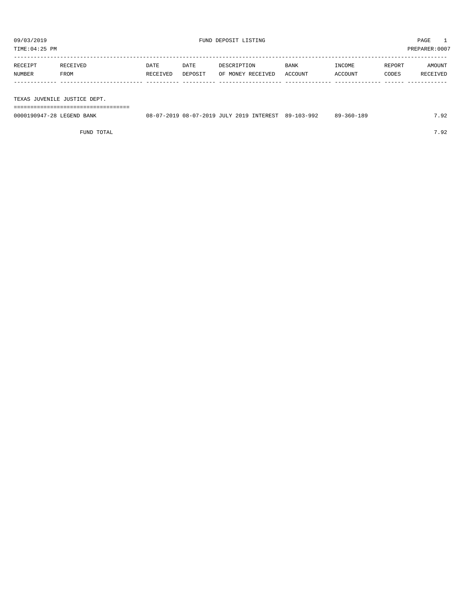TIME:04:25 PM PREPARER:0007

| RECEIPT | RECEIVED    | DATE     | DATE    | DESCRIPTION       | <b>BANK</b> | INCOME  | REPORT | AMOUNT   |
|---------|-------------|----------|---------|-------------------|-------------|---------|--------|----------|
| NUMBER  | <b>FROM</b> | RECEIVED | DEPOSIT | OF MONEY RECEIVED | ACCOUNT     | ACCOUNT | CODES  | RECEIVED |
|         |             |          |         |                   |             |         |        |          |
|         |             |          |         |                   |             |         |        |          |

TEXAS JUVENILE JUSTICE DEPT.

===================================

| 0000190947-28 LEGEND BANK |  |  | 08-07-2019 08-07-2019 JULY 2019 INTEREST 89-103-992 | 89-360-189 | 7.92 |
|---------------------------|--|--|-----------------------------------------------------|------------|------|
|                           |  |  |                                                     |            |      |

FUND TOTAL 7.92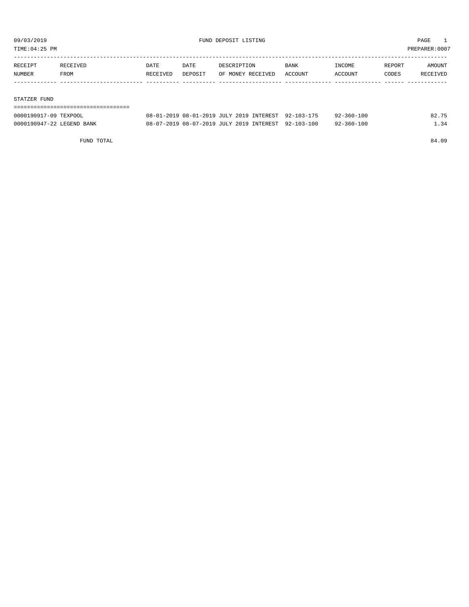TIME:04:25 PM PREPARER:0007

| RECEIPT | RECEIVED | DATE     | DATE    | DESCRIPTION       | BANK    | INCOME  | REPORT | AMOUNT          |
|---------|----------|----------|---------|-------------------|---------|---------|--------|-----------------|
| NUMBER  | FROM     | RECEIVED | DEPOSIT | OF MONEY RECEIVED | ACCOUNT | ACCOUNT | CODES  | <b>RECEIVED</b> |
|         |          |          |         |                   |         |         |        |                 |

## STATZER FUND

| 0000190917-09 TEXPOOL     | 08-01-2019 08-01-2019 JULY 2019 INTEREST 92-103-175 |  | $92 - 360 - 100$ | 82.75 |
|---------------------------|-----------------------------------------------------|--|------------------|-------|
| 0000190947-22 LEGEND BANK | 08-07-2019 08-07-2019 JULY 2019 INTEREST 92-103-100 |  | 92-360-100       | 1.34  |

FUND TOTAL 84.09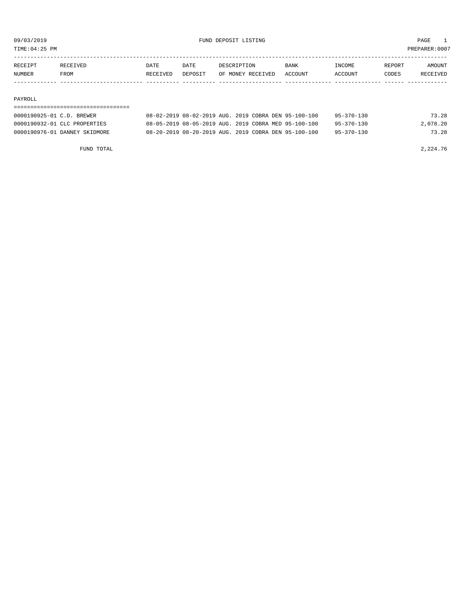TIME:04:25 PM PREPARER:0007

| <b>RECEIPT</b> | <b>RECEIVED</b> | DATE     | DATE    | DESCRIPTION       | <b>BANK</b>    | NCOME <sup>-</sup> | REPORT | <b>AMOUNT</b>   |
|----------------|-----------------|----------|---------|-------------------|----------------|--------------------|--------|-----------------|
| NUMBER         | FROM            | RECEIVED | DEPOSIT | OF MONEY RECEIVED | <b>ACCOUNT</b> | CCOUNT             | CODES  | <b>RECEIVED</b> |
|                |                 |          |         |                   |                |                    |        |                 |

0000190976-01 DANNEY SKIDMORE 08-20-2019 08-20-2019 AUG. 2019 COBRA DEN 95-100-100 95-370-130 73.28

### PAYROLL

## =================================== 0000190925-01 C.D. BREWER 08-02-2019 08-02-2019 AUG. 2019 COBRA DEN 95-100-100 95-370-130 73.28 0000190932-01 CLC PROPERTIES 08-05-2019 08-05-2019 AUG. 2019 COBRA MED 95-100-100 95-370-130 2,078.20

| FUND TOTAL | 2,224.76 |
|------------|----------|
|            |          |